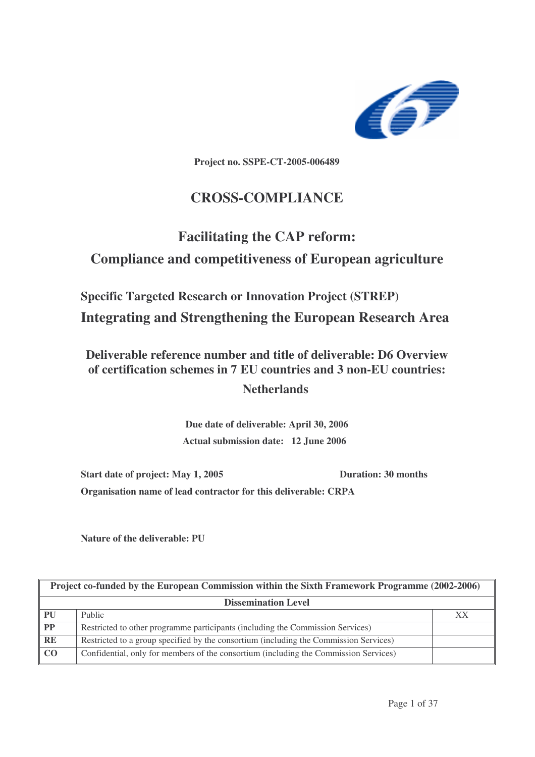

**Project no. SSPE-CT-2005-006489**

## **CROSS-COMPLIANCE**

# **Facilitating the CAP reform: Compliance and competitiveness of European agriculture**

**Specific Targeted Research or Innovation Project (STREP) Integrating and Strengthening the European Research Area**

**Deliverable reference number and title of deliverable: D6 Overview of certification schemes in 7 EU countries and 3 non-EU countries:**

**Netherlands**

**Due date of deliverable: April 30, 2006 Actual submission date: 12 June 2006**

**Start date of project: May 1, 2005 Duration: 30 months Organisation name of lead contractor for this deliverable: CRPA**

**Nature of the deliverable: PU**

| Project co-funded by the European Commission within the Sixth Framework Programme (2002-2006) |                                                                                       |    |  |  |
|-----------------------------------------------------------------------------------------------|---------------------------------------------------------------------------------------|----|--|--|
| <b>Dissemination Level</b>                                                                    |                                                                                       |    |  |  |
| PU                                                                                            | Public                                                                                | XX |  |  |
| $\boxed{\mathbf{PP}}$                                                                         | Restricted to other programme participants (including the Commission Services)        |    |  |  |
| $R$ E                                                                                         | Restricted to a group specified by the consortium (including the Commission Services) |    |  |  |
| $\overline{C}$                                                                                | Confidential, only for members of the consortium (including the Commission Services)  |    |  |  |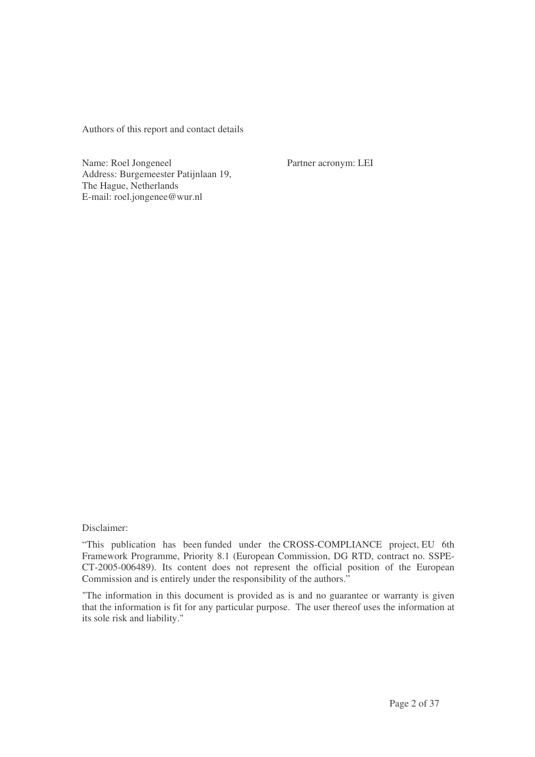Authors of this report and contact details

Name: Roel Jongeneel Partner acronym: LEI Address: Burgemeester Patijnlaan 19, The Hague, Netherlands E-mail: roel.jongenee@wur.nl

Disclaimer:

"This publication has been funded under the CROSS-COMPLIANCE project, EU 6th Framework Programme, Priority 8.1 (European Commission, DG RTD, contract no. SSPE-CT-2005-006489). Its content does not represent the official position of the European Commission and is entirely under the responsibility of the authors."

"The information in this document is provided as is and no guarantee or warranty is given that the information is fit for any particular purpose. The user thereof uses the information at its sole risk and liability."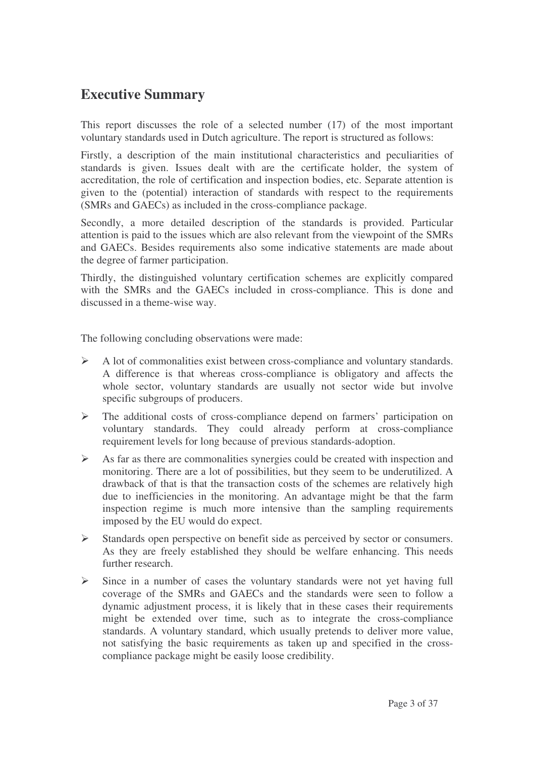## **Executive Summary**

This report discusses the role of a selected number (17) of the most important voluntary standards used in Dutch agriculture. The report is structured as follows:

Firstly, a description of the main institutional characteristics and peculiarities of standards is given. Issues dealt with are the certificate holder, the system of accreditation, the role of certification and inspection bodies, etc. Separate attention is given to the (potential) interaction of standards with respect to the requirements (SMRs and GAECs) as included in the cross-compliance package.

Secondly, a more detailed description of the standards is provided. Particular attention is paid to the issues which are also relevant from the viewpoint of the SMRs and GAECs. Besides requirements also some indicative statements are made about the degree of farmer participation.

Thirdly, the distinguished voluntary certification schemes are explicitly compared with the SMRs and the GAECs included in cross-compliance. This is done and discussed in a theme-wise way.

The following concluding observations were made:

- $\triangleright$  A lot of commonalities exist between cross-compliance and voluntary standards. A difference is that whereas cross-compliance is obligatory and affects the whole sector, voluntary standards are usually not sector wide but involve specific subgroups of producers.
- The additional costs of cross-compliance depend on farmers' participation on voluntary standards. They could already perform at cross-compliance requirement levels for long because of previous standards-adoption.
- $\triangleright$  As far as there are commonalities synergies could be created with inspection and monitoring. There are a lot of possibilities, but they seem to be underutilized. A drawback of that is that the transaction costs of the schemes are relatively high due to inefficiencies in the monitoring. An advantage might be that the farm inspection regime is much more intensive than the sampling requirements imposed by the EU would do expect.
- $\triangleright$  Standards open perspective on benefit side as perceived by sector or consumers. As they are freely established they should be welfare enhancing. This needs further research.
- $\triangleright$  Since in a number of cases the voluntary standards were not yet having full coverage of the SMRs and GAECs and the standards were seen to follow a dynamic adjustment process, it is likely that in these cases their requirements might be extended over time, such as to integrate the cross-compliance standards. A voluntary standard, which usually pretends to deliver more value, not satisfying the basic requirements as taken up and specified in the crosscompliance package might be easily loose credibility.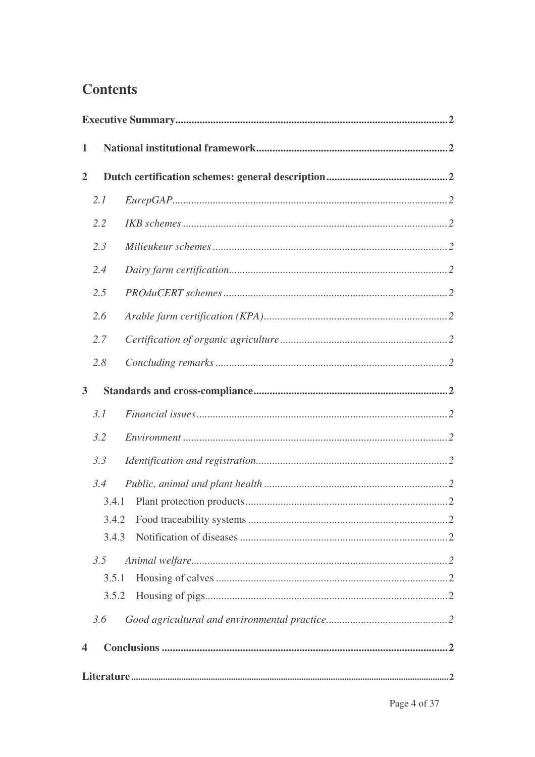## **Contents**

| $\mathbf{1}$   |       |  |
|----------------|-------|--|
| $\overline{2}$ |       |  |
|                | 2.1   |  |
|                | 2.2   |  |
|                | 2.3   |  |
|                | 2.4   |  |
|                | 2.5   |  |
|                | 2.6   |  |
|                | 2.7   |  |
|                | 2.8   |  |
| $\overline{3}$ |       |  |
|                | 3.1   |  |
|                | 3.2   |  |
|                | 3.3   |  |
|                | 3.4   |  |
|                | 3.4.1 |  |
|                | 3.4.2 |  |
|                | 3.4.3 |  |
|                | 3.5   |  |
|                | 3.5.1 |  |
|                | 3.5.2 |  |
|                | 3.6   |  |
| 4              |       |  |
|                |       |  |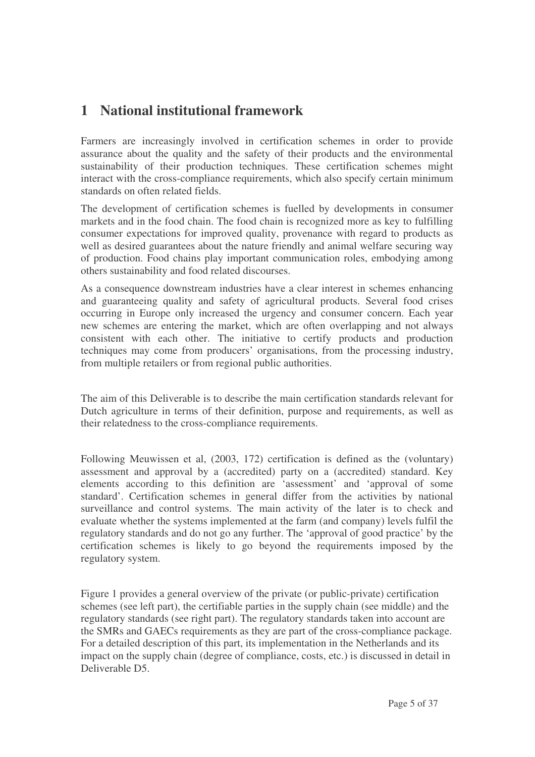## **1 National institutional framework**

Farmers are increasingly involved in certification schemes in order to provide assurance about the quality and the safety of their products and the environmental sustainability of their production techniques. These certification schemes might interact with the cross-compliance requirements, which also specify certain minimum standards on often related fields.

The development of certification schemes is fuelled by developments in consumer markets and in the food chain. The food chain is recognized more as key to fulfilling consumer expectations for improved quality, provenance with regard to products as well as desired guarantees about the nature friendly and animal welfare securing way of production. Food chains play important communication roles, embodying among others sustainability and food related discourses.

As a consequence downstream industries have a clear interest in schemes enhancing and guaranteeing quality and safety of agricultural products. Several food crises occurring in Europe only increased the urgency and consumer concern. Each year new schemes are entering the market, which are often overlapping and not always consistent with each other. The initiative to certify products and production techniques may come from producers' organisations, from the processing industry, from multiple retailers or from regional public authorities.

The aim of this Deliverable is to describe the main certification standards relevant for Dutch agriculture in terms of their definition, purpose and requirements, as well as their relatedness to the cross-compliance requirements.

Following Meuwissen et al, (2003, 172) certification is defined as the (voluntary) assessment and approval by a (accredited) party on a (accredited) standard. Key elements according to this definition are 'assessment' and 'approval of some standard'. Certification schemes in general differ from the activities by national surveillance and control systems. The main activity of the later is to check and evaluate whether the systems implemented at the farm (and company) levels fulfil the regulatory standards and do not go any further. The 'approval of good practice' by the certification schemes is likely to go beyond the requirements imposed by the regulatory system.

Figure 1 provides a general overview of the private (or public-private) certification schemes (see left part), the certifiable parties in the supply chain (see middle) and the regulatory standards (see right part). The regulatory standards taken into account are the SMRs and GAECs requirements as they are part of the cross-compliance package. For a detailed description of this part, its implementation in the Netherlands and its impact on the supply chain (degree of compliance, costs, etc.) is discussed in detail in Deliverable D5.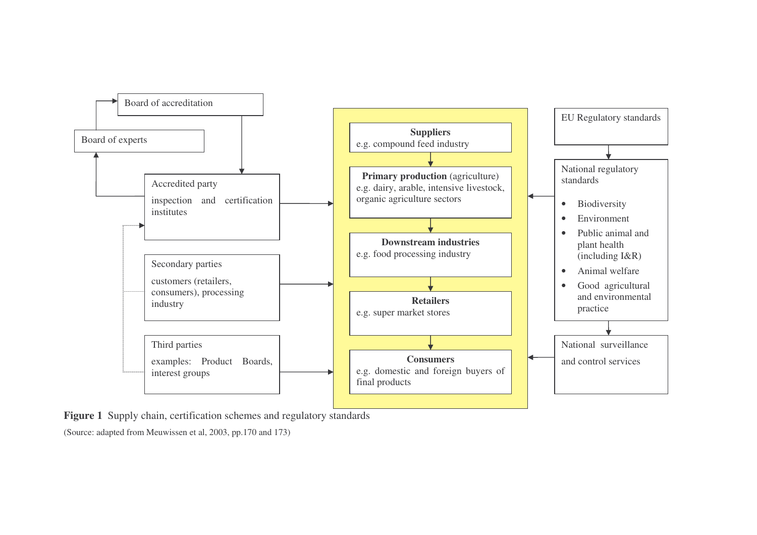

**Figure 1** Supply chain, certification schemes and regulatory standards

(Source: adapted from Meuwissen et al, 2003, pp.170 and 173)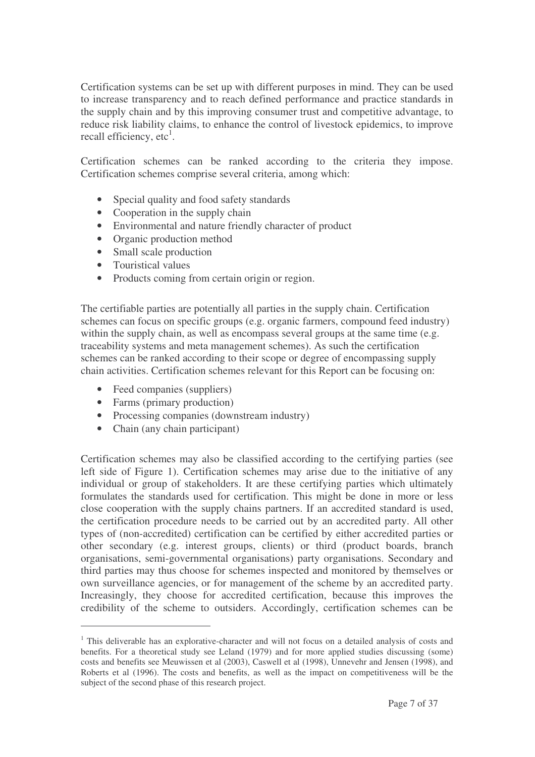Certification systems can be set up with different purposes in mind. They can be used to increase transparency and to reach defined performance and practice standards in the supply chain and by this improving consumer trust and competitive advantage, to reduce risk liability claims, to enhance the control of livestock epidemics, to improve recall efficiency, etc<sup>1</sup>.

Certification schemes can be ranked according to the criteria they impose. Certification schemes comprise several criteria, among which:

- Special quality and food safety standards
- Cooperation in the supply chain
- Environmental and nature friendly character of product
- Organic production method
- Small scale production
- Touristical values
- Products coming from certain origin or region.

The certifiable parties are potentially all parties in the supply chain. Certification schemes can focus on specific groups (e.g. organic farmers, compound feed industry) within the supply chain, as well as encompass several groups at the same time (e.g. traceability systems and meta management schemes). As such the certification schemes can be ranked according to their scope or degree of encompassing supply chain activities. Certification schemes relevant for this Report can be focusing on:

- Feed companies (suppliers)
- Farms (primary production)
- Processing companies (downstream industry)
- Chain (any chain participant)

Certification schemes may also be classified according to the certifying parties (see left side of Figure 1). Certification schemes may arise due to the initiative of any individual or group of stakeholders. It are these certifying parties which ultimately formulates the standards used for certification. This might be done in more or less close cooperation with the supply chains partners. If an accredited standard is used, the certification procedure needs to be carried out by an accredited party. All other types of (non-accredited) certification can be certified by either accredited parties or other secondary (e.g. interest groups, clients) or third (product boards, branch organisations, semi-governmental organisations) party organisations. Secondary and third parties may thus choose for schemes inspected and monitored by themselves or own surveillance agencies, or for management of the scheme by an accredited party. Increasingly, they choose for accredited certification, because this improves the credibility of the scheme to outsiders. Accordingly, certification schemes can be

<sup>&</sup>lt;sup>1</sup> This deliverable has an explorative-character and will not focus on a detailed analysis of costs and benefits. For a theoretical study see Leland (1979) and for more applied studies discussing (some) costs and benefits see Meuwissen et al (2003), Caswell et al (1998), Unnevehr and Jensen (1998), and Roberts et al (1996). The costs and benefits, as well as the impact on competitiveness will be the subject of the second phase of this research project.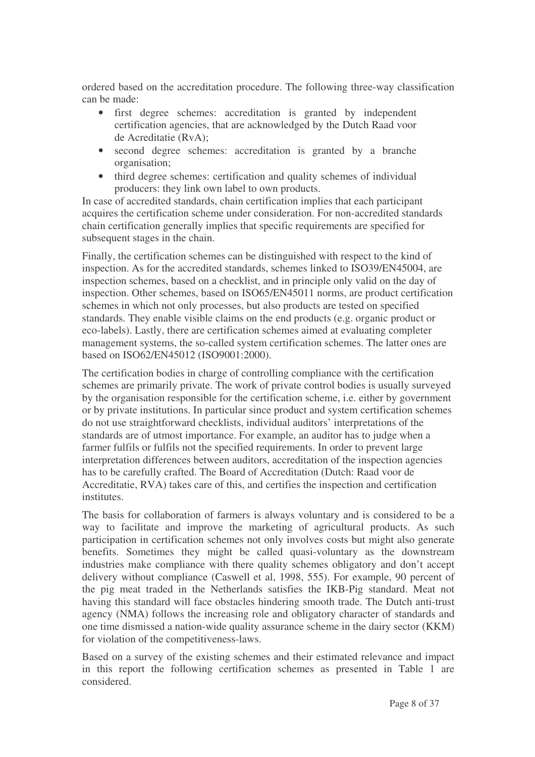ordered based on the accreditation procedure. The following three-way classification can be made:

- first degree schemes: accreditation is granted by independent certification agencies, that are acknowledged by the Dutch Raad voor de Acreditatie (RvA);
- second degree schemes: accreditation is granted by a branche organisation;
- third degree schemes: certification and quality schemes of individual producers: they link own label to own products.

In case of accredited standards, chain certification implies that each participant acquires the certification scheme under consideration. For non-accredited standards chain certification generally implies that specific requirements are specified for subsequent stages in the chain.

Finally, the certification schemes can be distinguished with respect to the kind of inspection. As for the accredited standards, schemes linked to ISO39/EN45004, are inspection schemes, based on a checklist, and in principle only valid on the day of inspection. Other schemes, based on ISO65/EN45011 norms, are product certification schemes in which not only processes, but also products are tested on specified standards. They enable visible claims on the end products (e.g. organic product or eco-labels). Lastly, there are certification schemes aimed at evaluating completer management systems, the so-called system certification schemes. The latter ones are based on ISO62/EN45012 (ISO9001:2000).

The certification bodies in charge of controlling compliance with the certification schemes are primarily private. The work of private control bodies is usually surveyed by the organisation responsible for the certification scheme, i.e. either by government or by private institutions. In particular since product and system certification schemes do not use straightforward checklists, individual auditors' interpretations of the standards are of utmost importance. For example, an auditor has to judge when a farmer fulfils or fulfils not the specified requirements. In order to prevent large interpretation differences between auditors, accreditation of the inspection agencies has to be carefully crafted. The Board of Accreditation (Dutch: Raad voor de Accreditatie, RVA) takes care of this, and certifies the inspection and certification institutes.

The basis for collaboration of farmers is always voluntary and is considered to be a way to facilitate and improve the marketing of agricultural products. As such participation in certification schemes not only involves costs but might also generate benefits. Sometimes they might be called quasi-voluntary as the downstream industries make compliance with there quality schemes obligatory and don't accept delivery without compliance (Caswell et al, 1998, 555). For example, 90 percent of the pig meat traded in the Netherlands satisfies the IKB-Pig standard. Meat not having this standard will face obstacles hindering smooth trade. The Dutch anti-trust agency (NMA) follows the increasing role and obligatory character of standards and one time dismissed a nation-wide quality assurance scheme in the dairy sector (KKM) for violation of the competitiveness-laws.

Based on a survey of the existing schemes and their estimated relevance and impact in this report the following certification schemes as presented in Table 1 are considered.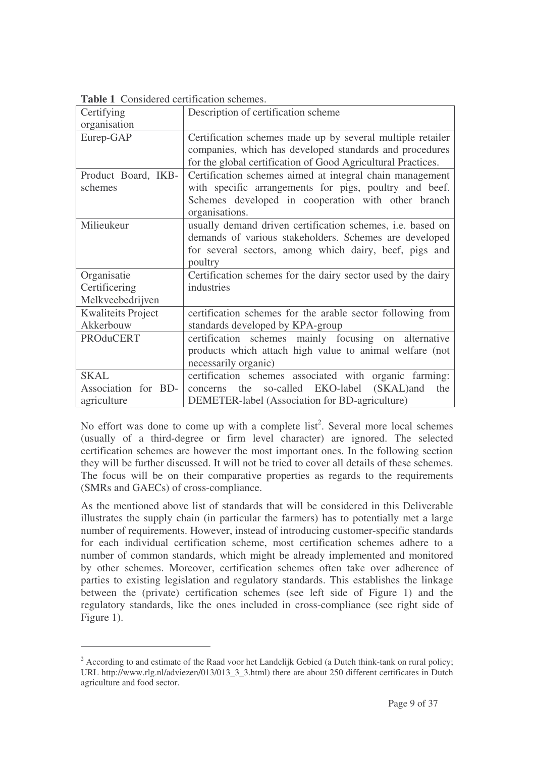|                           | Considered cortification senemes.                            |  |  |  |  |  |
|---------------------------|--------------------------------------------------------------|--|--|--|--|--|
| Certifying                | Description of certification scheme                          |  |  |  |  |  |
| organisation              |                                                              |  |  |  |  |  |
| Eurep-GAP                 | Certification schemes made up by several multiple retailer   |  |  |  |  |  |
|                           | companies, which has developed standards and procedures      |  |  |  |  |  |
|                           | for the global certification of Good Agricultural Practices. |  |  |  |  |  |
| Product Board, IKB-       | Certification schemes aimed at integral chain management     |  |  |  |  |  |
| schemes                   | with specific arrangements for pigs, poultry and beef.       |  |  |  |  |  |
|                           | Schemes developed in cooperation with other branch           |  |  |  |  |  |
|                           | organisations.                                               |  |  |  |  |  |
| Milieukeur                | usually demand driven certification schemes, i.e. based on   |  |  |  |  |  |
|                           | demands of various stakeholders. Schemes are developed       |  |  |  |  |  |
|                           | for several sectors, among which dairy, beef, pigs and       |  |  |  |  |  |
|                           | poultry                                                      |  |  |  |  |  |
| Organisatie               | Certification schemes for the dairy sector used by the dairy |  |  |  |  |  |
| Certificering             | industries                                                   |  |  |  |  |  |
| Melkveebedrijven          |                                                              |  |  |  |  |  |
| <b>Kwaliteits Project</b> | certification schemes for the arable sector following from   |  |  |  |  |  |
| Akkerbouw                 | standards developed by KPA-group                             |  |  |  |  |  |
| <b>PROduCERT</b>          | certification schemes mainly focusing on alternative         |  |  |  |  |  |
|                           | products which attach high value to animal welfare (not      |  |  |  |  |  |
|                           | necessarily organic)                                         |  |  |  |  |  |
| <b>SKAL</b>               | certification schemes associated with organic farming:       |  |  |  |  |  |
| Association for BD-       | so-called EKO-label<br>(SKAL) and<br>the<br>the<br>concerns  |  |  |  |  |  |
| agriculture               | DEMETER-label (Association for BD-agriculture)               |  |  |  |  |  |

**Table 1** Considered certification schemes.

No effort was done to come up with a complete list<sup>2</sup>. Several more local schemes (usually of a third-degree or firm level character) are ignored. The selected certification schemes are however the most important ones. In the following section they will be further discussed. It will not be tried to cover all details of these schemes. The focus will be on their comparative properties as regards to the requirements (SMRs and GAECs) of cross-compliance.

As the mentioned above list of standards that will be considered in this Deliverable illustrates the supply chain (in particular the farmers) has to potentially met a large number of requirements. However, instead of introducing customer-specific standards for each individual certification scheme, most certification schemes adhere to a number of common standards, which might be already implemented and monitored by other schemes. Moreover, certification schemes often take over adherence of parties to existing legislation and regulatory standards. This establishes the linkage between the (private) certification schemes (see left side of Figure 1) and the regulatory standards, like the ones included in cross-compliance (see right side of Figure 1).

<sup>&</sup>lt;sup>2</sup> According to and estimate of the Raad voor het Landelijk Gebied (a Dutch think-tank on rural policy; URL http://www.rlg.nl/adviezen/013/013\_3\_3.html) there are about 250 different certificates in Dutch agriculture and food sector.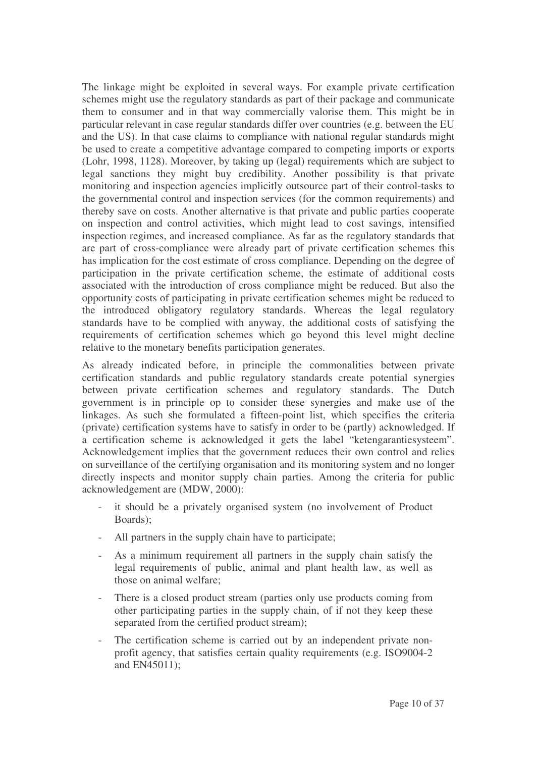The linkage might be exploited in several ways. For example private certification schemes might use the regulatory standards as part of their package and communicate them to consumer and in that way commercially valorise them. This might be in particular relevant in case regular standards differ over countries (e.g. between the EU and the US). In that case claims to compliance with national regular standards might be used to create a competitive advantage compared to competing imports or exports (Lohr, 1998, 1128). Moreover, by taking up (legal) requirements which are subject to legal sanctions they might buy credibility. Another possibility is that private monitoring and inspection agencies implicitly outsource part of their control-tasks to the governmental control and inspection services (for the common requirements) and thereby save on costs. Another alternative is that private and public parties cooperate on inspection and control activities, which might lead to cost savings, intensified inspection regimes, and increased compliance. As far as the regulatory standards that are part of cross-compliance were already part of private certification schemes this has implication for the cost estimate of cross compliance. Depending on the degree of participation in the private certification scheme, the estimate of additional costs associated with the introduction of cross compliance might be reduced. But also the opportunity costs of participating in private certification schemes might be reduced to the introduced obligatory regulatory standards. Whereas the legal regulatory standards have to be complied with anyway, the additional costs of satisfying the requirements of certification schemes which go beyond this level might decline relative to the monetary benefits participation generates.

As already indicated before, in principle the commonalities between private certification standards and public regulatory standards create potential synergies between private certification schemes and regulatory standards. The Dutch government is in principle op to consider these synergies and make use of the linkages. As such she formulated a fifteen-point list, which specifies the criteria (private) certification systems have to satisfy in order to be (partly) acknowledged. If a certification scheme is acknowledged it gets the label "ketengarantiesysteem". Acknowledgement implies that the government reduces their own control and relies on surveillance of the certifying organisation and its monitoring system and no longer directly inspects and monitor supply chain parties. Among the criteria for public acknowledgement are (MDW, 2000):

- it should be a privately organised system (no involvement of Product Boards);
- All partners in the supply chain have to participate;
- As a minimum requirement all partners in the supply chain satisfy the legal requirements of public, animal and plant health law, as well as those on animal welfare;
- There is a closed product stream (parties only use products coming from other participating parties in the supply chain, of if not they keep these separated from the certified product stream);
- The certification scheme is carried out by an independent private nonprofit agency, that satisfies certain quality requirements (e.g. ISO9004-2 and EN45011);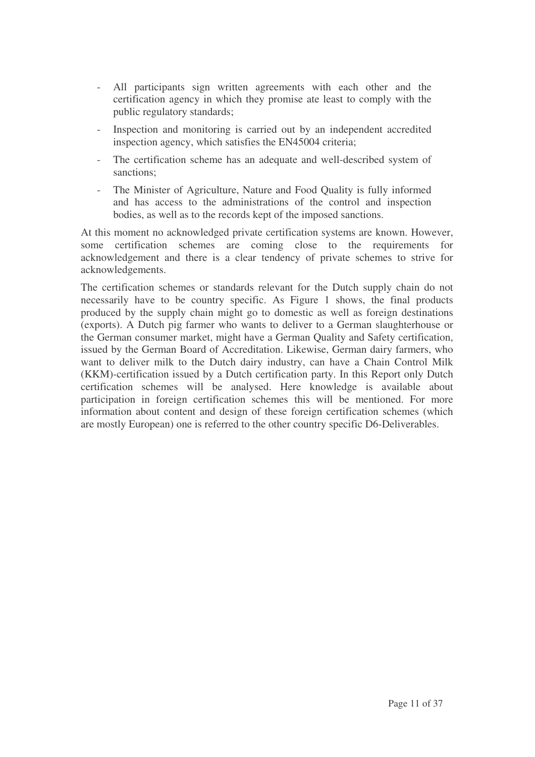- All participants sign written agreements with each other and the certification agency in which they promise ate least to comply with the public regulatory standards;
- Inspection and monitoring is carried out by an independent accredited inspection agency, which satisfies the EN45004 criteria;
- The certification scheme has an adequate and well-described system of sanctions;
- The Minister of Agriculture, Nature and Food Quality is fully informed and has access to the administrations of the control and inspection bodies, as well as to the records kept of the imposed sanctions.

At this moment no acknowledged private certification systems are known. However, some certification schemes are coming close to the requirements for acknowledgement and there is a clear tendency of private schemes to strive for acknowledgements.

The certification schemes or standards relevant for the Dutch supply chain do not necessarily have to be country specific. As Figure 1 shows, the final products produced by the supply chain might go to domestic as well as foreign destinations (exports). A Dutch pig farmer who wants to deliver to a German slaughterhouse or the German consumer market, might have a German Quality and Safety certification, issued by the German Board of Accreditation. Likewise, German dairy farmers, who want to deliver milk to the Dutch dairy industry, can have a Chain Control Milk (KKM)-certification issued by a Dutch certification party. In this Report only Dutch certification schemes will be analysed. Here knowledge is available about participation in foreign certification schemes this will be mentioned. For more information about content and design of these foreign certification schemes (which are mostly European) one is referred to the other country specific D6-Deliverables.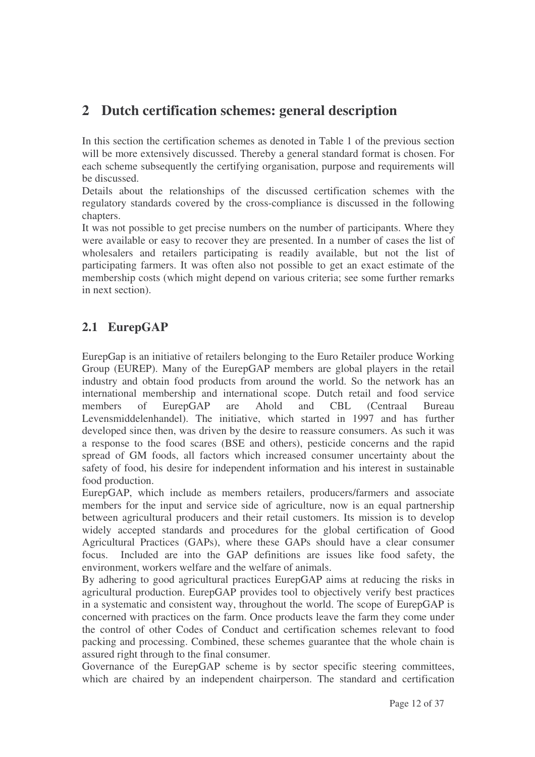## **2 Dutch certification schemes: general description**

In this section the certification schemes as denoted in Table 1 of the previous section will be more extensively discussed. Thereby a general standard format is chosen. For each scheme subsequently the certifying organisation, purpose and requirements will be discussed.

Details about the relationships of the discussed certification schemes with the regulatory standards covered by the cross-compliance is discussed in the following chapters.

It was not possible to get precise numbers on the number of participants. Where they were available or easy to recover they are presented. In a number of cases the list of wholesalers and retailers participating is readily available, but not the list of participating farmers. It was often also not possible to get an exact estimate of the membership costs (which might depend on various criteria; see some further remarks in next section).

## **2.1 EurepGAP**

EurepGap is an initiative of retailers belonging to the Euro Retailer produce Working Group (EUREP). Many of the EurepGAP members are global players in the retail industry and obtain food products from around the world. So the network has an international membership and international scope. Dutch retail and food service members of EurepGAP are Ahold and CBL (Centraal Bureau Levensmiddelenhandel). The initiative, which started in 1997 and has further developed since then, was driven by the desire to reassure consumers. As such it was a response to the food scares (BSE and others), pesticide concerns and the rapid spread of GM foods, all factors which increased consumer uncertainty about the safety of food, his desire for independent information and his interest in sustainable food production.

EurepGAP, which include as members retailers, producers/farmers and associate members for the input and service side of agriculture, now is an equal partnership between agricultural producers and their retail customers. Its mission is to develop widely accepted standards and procedures for the global certification of Good Agricultural Practices (GAPs), where these GAPs should have a clear consumer focus. Included are into the GAP definitions are issues like food safety, the environment, workers welfare and the welfare of animals.

By adhering to good agricultural practices EurepGAP aims at reducing the risks in agricultural production. EurepGAP provides tool to objectively verify best practices in a systematic and consistent way, throughout the world. The scope of EurepGAP is concerned with practices on the farm. Once products leave the farm they come under the control of other Codes of Conduct and certification schemes relevant to food packing and processing. Combined, these schemes guarantee that the whole chain is assured right through to the final consumer.

Governance of the EurepGAP scheme is by sector specific steering committees, which are chaired by an independent chairperson. The standard and certification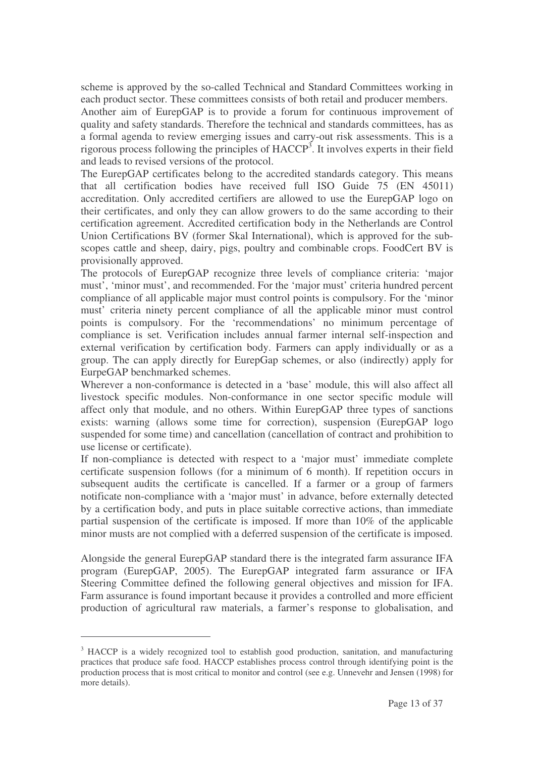scheme is approved by the so-called Technical and Standard Committees working in each product sector. These committees consists of both retail and producer members. Another aim of EurepGAP is to provide a forum for continuous improvement of quality and safety standards. Therefore the technical and standards committees, has as a formal agenda to review emerging issues and carry-out risk assessments. This is a rigorous process following the principles of HACCP<sup>3</sup>. It involves experts in their field and leads to revised versions of the protocol.

The EurepGAP certificates belong to the accredited standards category. This means that all certification bodies have received full ISO Guide 75 (EN 45011) accreditation. Only accredited certifiers are allowed to use the EurepGAP logo on their certificates, and only they can allow growers to do the same according to their certification agreement. Accredited certification body in the Netherlands are Control Union Certifications BV (former Skal International), which is approved for the subscopes cattle and sheep, dairy, pigs, poultry and combinable crops. FoodCert BV is provisionally approved.

The protocols of EurepGAP recognize three levels of compliance criteria: 'major must', 'minor must', and recommended. For the 'major must' criteria hundred percent compliance of all applicable major must control points is compulsory. For the 'minor must' criteria ninety percent compliance of all the applicable minor must control points is compulsory. For the 'recommendations' no minimum percentage of compliance is set. Verification includes annual farmer internal self-inspection and external verification by certification body. Farmers can apply individually or as a group. The can apply directly for EurepGap schemes, or also (indirectly) apply for EurpeGAP benchmarked schemes.

Wherever a non-conformance is detected in a 'base' module, this will also affect all livestock specific modules. Non-conformance in one sector specific module will affect only that module, and no others. Within EurepGAP three types of sanctions exists: warning (allows some time for correction), suspension (EurepGAP logo suspended for some time) and cancellation (cancellation of contract and prohibition to use license or certificate).

If non-compliance is detected with respect to a 'major must' immediate complete certificate suspension follows (for a minimum of 6 month). If repetition occurs in subsequent audits the certificate is cancelled. If a farmer or a group of farmers notificate non-compliance with a 'major must' in advance, before externally detected by a certification body, and puts in place suitable corrective actions, than immediate partial suspension of the certificate is imposed. If more than 10% of the applicable minor musts are not complied with a deferred suspension of the certificate is imposed.

Alongside the general EurepGAP standard there is the integrated farm assurance IFA program (EurepGAP, 2005). The EurepGAP integrated farm assurance or IFA Steering Committee defined the following general objectives and mission for IFA. Farm assurance is found important because it provides a controlled and more efficient production of agricultural raw materials, a farmer's response to globalisation, and

<sup>&</sup>lt;sup>3</sup> HACCP is a widely recognized tool to establish good production, sanitation, and manufacturing practices that produce safe food. HACCP establishes process control through identifying point is the production process that is most critical to monitor and control (see e.g. Unnevehr and Jensen (1998) for more details).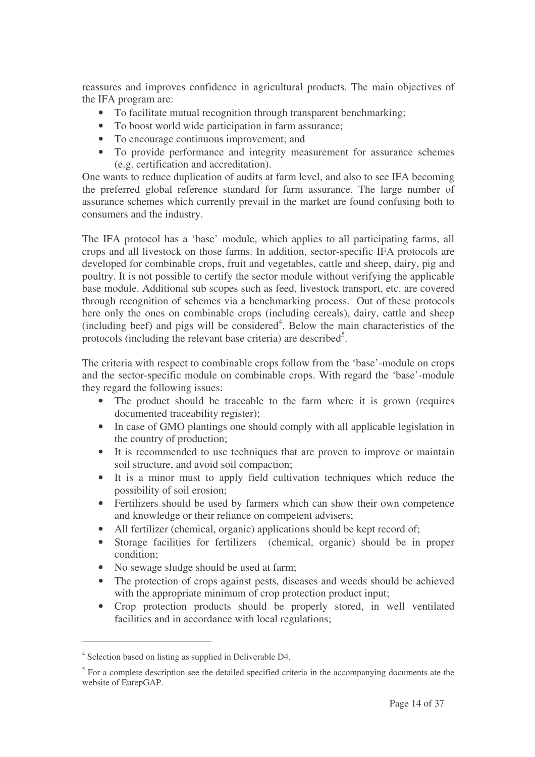reassures and improves confidence in agricultural products. The main objectives of the IFA program are:

- To facilitate mutual recognition through transparent benchmarking;
- To boost world wide participation in farm assurance;
- To encourage continuous improvement; and
- To provide performance and integrity measurement for assurance schemes (e.g. certification and accreditation).

One wants to reduce duplication of audits at farm level, and also to see IFA becoming the preferred global reference standard for farm assurance. The large number of assurance schemes which currently prevail in the market are found confusing both to consumers and the industry.

The IFA protocol has a 'base' module, which applies to all participating farms, all crops and all livestock on those farms. In addition, sector-specific IFA protocols are developed for combinable crops, fruit and vegetables, cattle and sheep, dairy, pig and poultry. It is not possible to certify the sector module without verifying the applicable base module. Additional sub scopes such as feed, livestock transport, etc. are covered through recognition of schemes via a benchmarking process. Out of these protocols here only the ones on combinable crops (including cereals), dairy, cattle and sheep (including beef) and pigs will be considered 4 . Below the main characteristics of the protocols (including the relevant base criteria) are described<sup>5</sup>.

The criteria with respect to combinable crops follow from the 'base'-module on crops and the sector-specific module on combinable crops. With regard the 'base'-module they regard the following issues:

- The product should be traceable to the farm where it is grown (requires documented traceability register);
- In case of GMO plantings one should comply with all applicable legislation in the country of production;
- It is recommended to use techniques that are proven to improve or maintain soil structure, and avoid soil compaction;
- It is a minor must to apply field cultivation techniques which reduce the possibility of soil erosion;
- Fertilizers should be used by farmers which can show their own competence and knowledge or their reliance on competent advisers;
- All fertilizer (chemical, organic) applications should be kept record of;
- Storage facilities for fertilizers (chemical, organic) should be in proper condition;
- No sewage sludge should be used at farm;
- The protection of crops against pests, diseases and weeds should be achieved with the appropriate minimum of crop protection product input;
- Crop protection products should be properly stored, in well ventilated facilities and in accordance with local regulations;

<sup>&</sup>lt;sup>4</sup> Selection based on listing as supplied in Deliverable D4.

<sup>&</sup>lt;sup>5</sup> For a complete description see the detailed specified criteria in the accompanying documents ate the website of EurepGAP.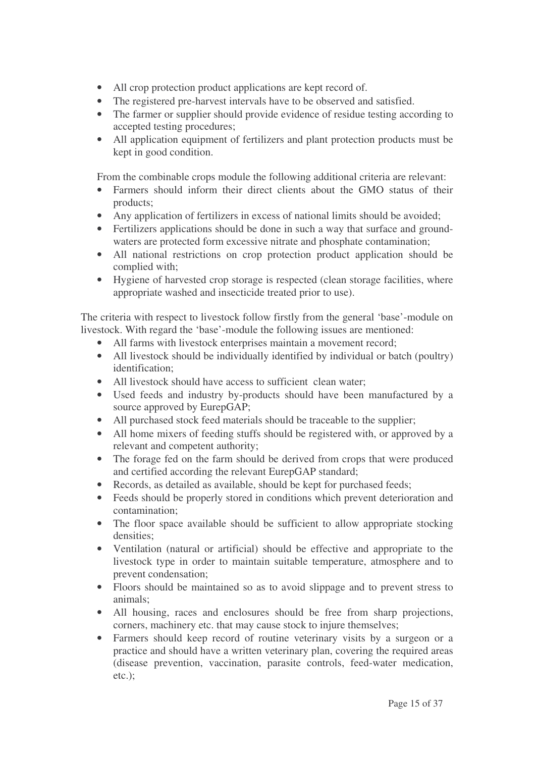- All crop protection product applications are kept record of.
- The registered pre-harvest intervals have to be observed and satisfied.
- The farmer or supplier should provide evidence of residue testing according to accepted testing procedures;
- All application equipment of fertilizers and plant protection products must be kept in good condition.

From the combinable crops module the following additional criteria are relevant:

- Farmers should inform their direct clients about the GMO status of their products;
- Any application of fertilizers in excess of national limits should be avoided;
- Fertilizers applications should be done in such a way that surface and groundwaters are protected form excessive nitrate and phosphate contamination;
- All national restrictions on crop protection product application should be complied with;
- Hygiene of harvested crop storage is respected (clean storage facilities, where appropriate washed and insecticide treated prior to use).

The criteria with respect to livestock follow firstly from the general 'base'-module on livestock. With regard the 'base'-module the following issues are mentioned:

- All farms with livestock enterprises maintain a movement record;
- All livestock should be individually identified by individual or batch (poultry) identification;
- All livestock should have access to sufficient clean water:
- Used feeds and industry by-products should have been manufactured by a source approved by EurepGAP;
- All purchased stock feed materials should be traceable to the supplier;
- All home mixers of feeding stuffs should be registered with, or approved by a relevant and competent authority;
- The forage fed on the farm should be derived from crops that were produced and certified according the relevant EurepGAP standard;
- Records, as detailed as available, should be kept for purchased feeds;
- Feeds should be properly stored in conditions which prevent deterioration and contamination;
- The floor space available should be sufficient to allow appropriate stocking densities;
- Ventilation (natural or artificial) should be effective and appropriate to the livestock type in order to maintain suitable temperature, atmosphere and to prevent condensation;
- Floors should be maintained so as to avoid slippage and to prevent stress to animals;
- All housing, races and enclosures should be free from sharp projections, corners, machinery etc. that may cause stock to injure themselves;
- Farmers should keep record of routine veterinary visits by a surgeon or a practice and should have a written veterinary plan, covering the required areas (disease prevention, vaccination, parasite controls, feed-water medication, etc.);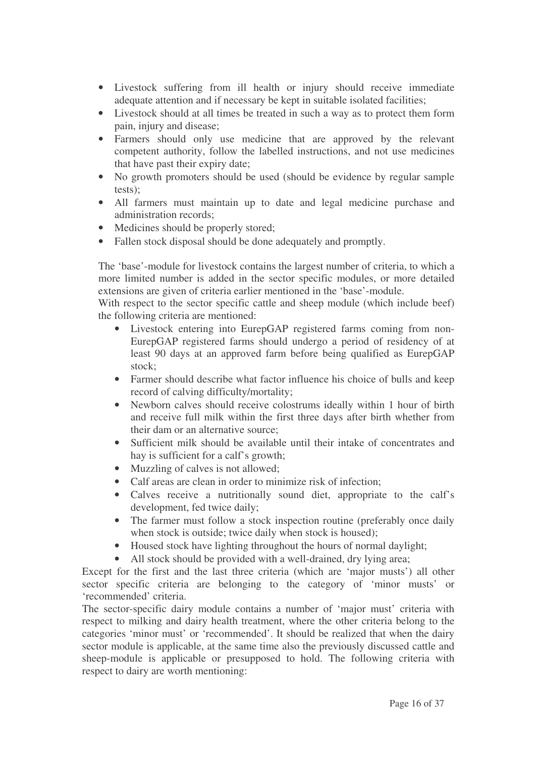- Livestock suffering from ill health or injury should receive immediate adequate attention and if necessary be kept in suitable isolated facilities;
- Livestock should at all times be treated in such a way as to protect them form pain, injury and disease;
- Farmers should only use medicine that are approved by the relevant competent authority, follow the labelled instructions, and not use medicines that have past their expiry date;
- No growth promoters should be used (should be evidence by regular sample tests);
- All farmers must maintain up to date and legal medicine purchase and administration records;
- Medicines should be properly stored;
- Fallen stock disposal should be done adequately and promptly.

The 'base'-module for livestock contains the largest number of criteria, to which a more limited number is added in the sector specific modules, or more detailed extensions are given of criteria earlier mentioned in the 'base'-module.

With respect to the sector specific cattle and sheep module (which include beef) the following criteria are mentioned:

- Livestock entering into EurepGAP registered farms coming from non-EurepGAP registered farms should undergo a period of residency of at least 90 days at an approved farm before being qualified as EurepGAP stock;
- Farmer should describe what factor influence his choice of bulls and keep record of calving difficulty/mortality;
- Newborn calves should receive colostrums ideally within 1 hour of birth and receive full milk within the first three days after birth whether from their dam or an alternative source;
- Sufficient milk should be available until their intake of concentrates and hay is sufficient for a calf's growth;
- Muzzling of calves is not allowed;
- Calf areas are clean in order to minimize risk of infection:
- Calves receive a nutritionally sound diet, appropriate to the calf's development, fed twice daily;
- The farmer must follow a stock inspection routine (preferably once daily when stock is outside; twice daily when stock is housed);
- Housed stock have lighting throughout the hours of normal daylight;
- All stock should be provided with a well-drained, dry lying area;

Except for the first and the last three criteria (which are 'major musts') all other sector specific criteria are belonging to the category of 'minor musts' or 'recommended' criteria.

The sector-specific dairy module contains a number of 'major must' criteria with respect to milking and dairy health treatment, where the other criteria belong to the categories 'minor must' or 'recommended'. It should be realized that when the dairy sector module is applicable, at the same time also the previously discussed cattle and sheep-module is applicable or presupposed to hold. The following criteria with respect to dairy are worth mentioning: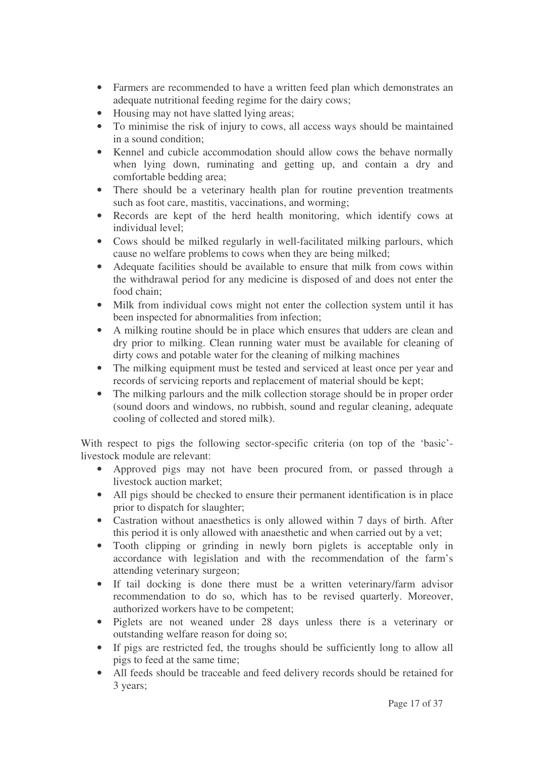- Farmers are recommended to have a written feed plan which demonstrates an adequate nutritional feeding regime for the dairy cows;
- Housing may not have slatted lying areas;
- To minimise the risk of injury to cows, all access ways should be maintained in a sound condition;
- Kennel and cubicle accommodation should allow cows the behave normally when lying down, ruminating and getting up, and contain a dry and comfortable bedding area;
- There should be a veterinary health plan for routine prevention treatments such as foot care, mastitis, vaccinations, and worming;
- Records are kept of the herd health monitoring, which identify cows at individual level;
- Cows should be milked regularly in well-facilitated milking parlours, which cause no welfare problems to cows when they are being milked;
- Adequate facilities should be available to ensure that milk from cows within the withdrawal period for any medicine is disposed of and does not enter the food chain;
- Milk from individual cows might not enter the collection system until it has been inspected for abnormalities from infection;
- A milking routine should be in place which ensures that udders are clean and dry prior to milking. Clean running water must be available for cleaning of dirty cows and potable water for the cleaning of milking machines
- The milking equipment must be tested and serviced at least once per year and records of servicing reports and replacement of material should be kept;
- The milking parlours and the milk collection storage should be in proper order (sound doors and windows, no rubbish, sound and regular cleaning, adequate cooling of collected and stored milk).

With respect to pigs the following sector-specific criteria (on top of the 'basic' livestock module are relevant:

- Approved pigs may not have been procured from, or passed through a livestock auction market;
- All pigs should be checked to ensure their permanent identification is in place prior to dispatch for slaughter;
- Castration without anaesthetics is only allowed within 7 days of birth. After this period it is only allowed with anaesthetic and when carried out by a vet;
- Tooth clipping or grinding in newly born piglets is acceptable only in accordance with legislation and with the recommendation of the farm's attending veterinary surgeon;
- If tail docking is done there must be a written veterinary/farm advisor recommendation to do so, which has to be revised quarterly. Moreover, authorized workers have to be competent;
- Piglets are not weaned under 28 days unless there is a veterinary or outstanding welfare reason for doing so;
- If pigs are restricted fed, the troughs should be sufficiently long to allow all pigs to feed at the same time;
- All feeds should be traceable and feed delivery records should be retained for 3 years;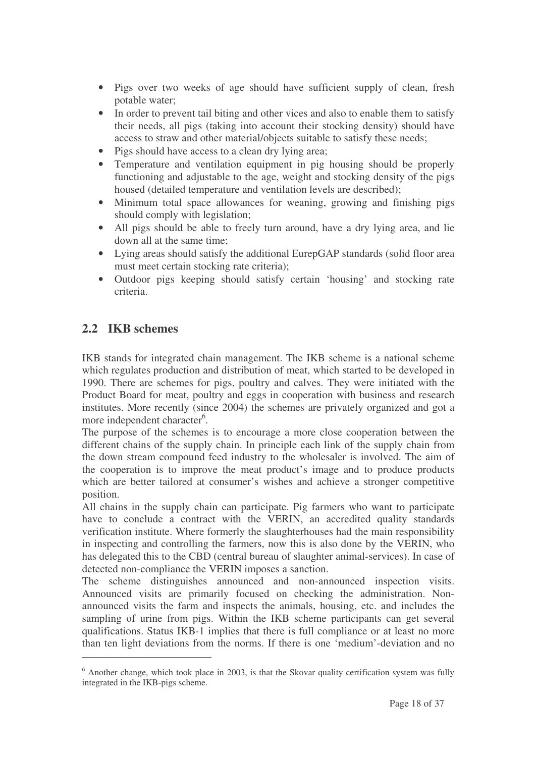- Pigs over two weeks of age should have sufficient supply of clean, fresh potable water;
- In order to prevent tail biting and other vices and also to enable them to satisfy their needs, all pigs (taking into account their stocking density) should have access to straw and other material/objects suitable to satisfy these needs;
- Pigs should have access to a clean dry lying area;
- Temperature and ventilation equipment in pig housing should be properly functioning and adjustable to the age, weight and stocking density of the pigs housed (detailed temperature and ventilation levels are described);
- Minimum total space allowances for weaning, growing and finishing pigs should comply with legislation;
- All pigs should be able to freely turn around, have a dry lying area, and lie down all at the same time;
- Lying areas should satisfy the additional EurepGAP standards (solid floor area must meet certain stocking rate criteria);
- Outdoor pigs keeping should satisfy certain 'housing' and stocking rate criteria.

## **2.2 IKB schemes**

IKB stands for integrated chain management. The IKB scheme is a national scheme which regulates production and distribution of meat, which started to be developed in 1990. There are schemes for pigs, poultry and calves. They were initiated with the Product Board for meat, poultry and eggs in cooperation with business and research institutes. More recently (since 2004) the schemes are privately organized and got a more independent character<sup>6</sup>.

The purpose of the schemes is to encourage a more close cooperation between the different chains of the supply chain. In principle each link of the supply chain from the down stream compound feed industry to the wholesaler is involved. The aim of the cooperation is to improve the meat product's image and to produce products which are better tailored at consumer's wishes and achieve a stronger competitive position.

All chains in the supply chain can participate. Pig farmers who want to participate have to conclude a contract with the VERIN, an accredited quality standards verification institute. Where formerly the slaughterhouses had the main responsibility in inspecting and controlling the farmers, now this is also done by the VERIN, who has delegated this to the CBD (central bureau of slaughter animal-services). In case of detected non-compliance the VERIN imposes a sanction.

The scheme distinguishes announced and non-announced inspection visits. Announced visits are primarily focused on checking the administration. Nonannounced visits the farm and inspects the animals, housing, etc. and includes the sampling of urine from pigs. Within the IKB scheme participants can get several qualifications. Status IKB-1 implies that there is full compliance or at least no more than ten light deviations from the norms. If there is one 'medium'-deviation and no

 $6$  Another change, which took place in 2003, is that the Skovar quality certification system was fully integrated in the IKB-pigs scheme.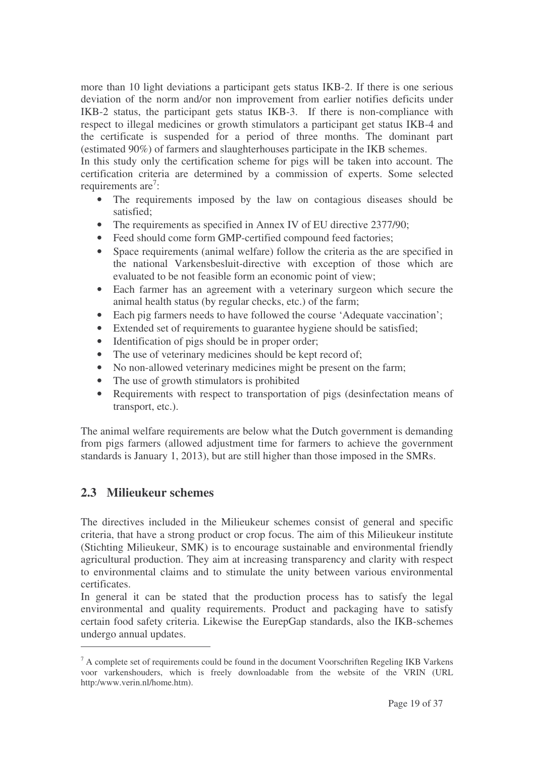more than 10 light deviations a participant gets status IKB-2. If there is one serious deviation of the norm and/or non improvement from earlier notifies deficits under IKB-2 status, the participant gets status IKB-3. If there is non-compliance with respect to illegal medicines or growth stimulators a participant get status IKB-4 and the certificate is suspended for a period of three months. The dominant part (estimated 90%) of farmers and slaughterhouses participate in the IKB schemes.

In this study only the certification scheme for pigs will be taken into account. The certification criteria are determined by a commission of experts. Some selected requirements are<sup>7</sup>:

- The requirements imposed by the law on contagious diseases should be satisfied;
- The requirements as specified in Annex IV of EU directive 2377/90;
- Feed should come form GMP-certified compound feed factories;
- Space requirements (animal welfare) follow the criteria as the are specified in the national Varkensbesluit-directive with exception of those which are evaluated to be not feasible form an economic point of view;
- Each farmer has an agreement with a veterinary surgeon which secure the animal health status (by regular checks, etc.) of the farm;
- Each pig farmers needs to have followed the course 'Adequate vaccination':
- Extended set of requirements to guarantee hygiene should be satisfied;
- Identification of pigs should be in proper order;
- The use of veterinary medicines should be kept record of;
- No non-allowed veterinary medicines might be present on the farm;
- The use of growth stimulators is prohibited
- Requirements with respect to transportation of pigs (desinfectation means of transport, etc.).

The animal welfare requirements are below what the Dutch government is demanding from pigs farmers (allowed adjustment time for farmers to achieve the government standards is January 1, 2013), but are still higher than those imposed in the SMRs.

### **2.3 Milieukeur schemes**

The directives included in the Milieukeur schemes consist of general and specific criteria, that have a strong product or crop focus. The aim of this Milieukeur institute (Stichting Milieukeur, SMK) is to encourage sustainable and environmental friendly agricultural production. They aim at increasing transparency and clarity with respect to environmental claims and to stimulate the unity between various environmental certificates.

In general it can be stated that the production process has to satisfy the legal environmental and quality requirements. Product and packaging have to satisfy certain food safety criteria. Likewise the EurepGap standards, also the IKB-schemes undergo annual updates.

 $<sup>7</sup>$  A complete set of requirements could be found in the document Voorschriften Regeling IKB Varkens</sup> voor varkenshouders, which is freely downloadable from the website of the VRIN (URL http:/www.verin.nl/home.htm).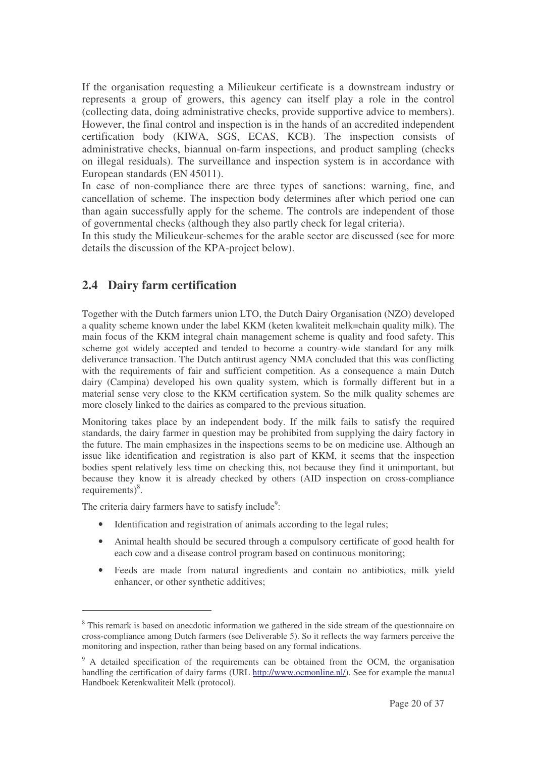If the organisation requesting a Milieukeur certificate is a downstream industry or represents a group of growers, this agency can itself play a role in the control (collecting data, doing administrative checks, provide supportive advice to members). However, the final control and inspection is in the hands of an accredited independent certification body (KIWA, SGS, ECAS, KCB). The inspection consists of administrative checks, biannual on-farm inspections, and product sampling (checks on illegal residuals). The surveillance and inspection system is in accordance with European standards (EN 45011).

In case of non-compliance there are three types of sanctions: warning, fine, and cancellation of scheme. The inspection body determines after which period one can than again successfully apply for the scheme. The controls are independent of those of governmental checks (although they also partly check for legal criteria).

In this study the Milieukeur-schemes for the arable sector are discussed (see for more details the discussion of the KPA-project below).

### **2.4 Dairy farm certification**

Together with the Dutch farmers union LTO, the Dutch Dairy Organisation (NZO) developed a quality scheme known under the label KKM (keten kwaliteit melk=chain quality milk). The main focus of the KKM integral chain management scheme is quality and food safety. This scheme got widely accepted and tended to become a country-wide standard for any milk deliverance transaction. The Dutch antitrust agency NMA concluded that this was conflicting with the requirements of fair and sufficient competition. As a consequence a main Dutch dairy (Campina) developed his own quality system, which is formally different but in a material sense very close to the KKM certification system. So the milk quality schemes are more closely linked to the dairies as compared to the previous situation.

Monitoring takes place by an independent body. If the milk fails to satisfy the required standards, the dairy farmer in question may be prohibited from supplying the dairy factory in the future. The main emphasizes in the inspections seems to be on medicine use. Although an issue like identification and registration is also part of KKM, it seems that the inspection bodies spent relatively less time on checking this, not because they find it unimportant, but because they know it is already checked by others (AID inspection on cross-compliance requirements)<sup>8</sup>.

The criteria dairy farmers have to satisfy include<sup>9</sup>:

- Identification and registration of animals according to the legal rules;
- Animal health should be secured through a compulsory certificate of good health for each cow and a disease control program based on continuous monitoring;
- Feeds are made from natural ingredients and contain no antibiotics, milk yield enhancer, or other synthetic additives;

<sup>&</sup>lt;sup>8</sup> This remark is based on anecdotic information we gathered in the side stream of the questionnaire on cross-compliance among Dutch farmers (see Deliverable 5). So it reflects the way farmers perceive the monitoring and inspection, rather than being based on any formal indications.

<sup>&</sup>lt;sup>9</sup> A detailed specification of the requirements can be obtained from the OCM, the organisation handling the certification of dairy farms (URL http://www.ocmonline.nl/). See for example the manual Handboek Ketenkwaliteit Melk (protocol).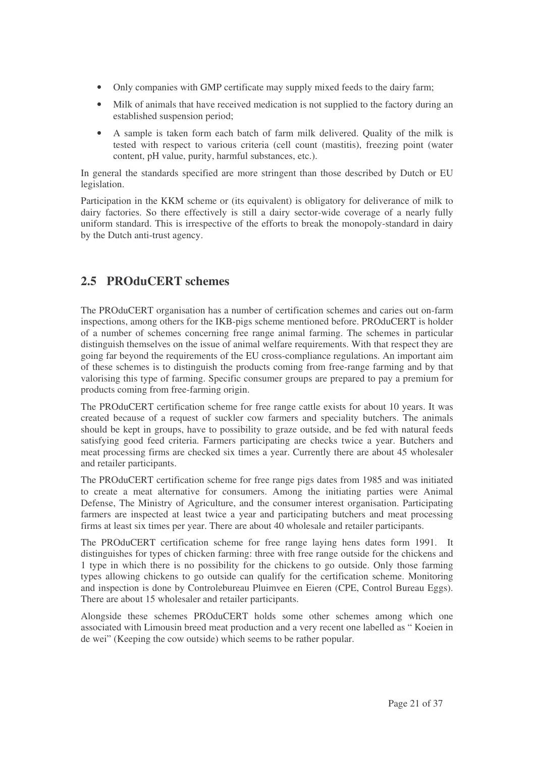- Only companies with GMP certificate may supply mixed feeds to the dairy farm;
- Milk of animals that have received medication is not supplied to the factory during an established suspension period;
- A sample is taken form each batch of farm milk delivered. Quality of the milk is tested with respect to various criteria (cell count (mastitis), freezing point (water content, pH value, purity, harmful substances, etc.).

In general the standards specified are more stringent than those described by Dutch or EU legislation.

Participation in the KKM scheme or (its equivalent) is obligatory for deliverance of milk to dairy factories. So there effectively is still a dairy sector-wide coverage of a nearly fully uniform standard. This is irrespective of the efforts to break the monopoly-standard in dairy by the Dutch anti-trust agency.

## **2.5 PROduCERT schemes**

The PROduCERT organisation has a number of certification schemes and caries out on-farm inspections, among others for the IKB-pigs scheme mentioned before. PROduCERT is holder of a number of schemes concerning free range animal farming. The schemes in particular distinguish themselves on the issue of animal welfare requirements. With that respect they are going far beyond the requirements of the EU cross-compliance regulations. An important aim of these schemes is to distinguish the products coming from free-range farming and by that valorising this type of farming. Specific consumer groups are prepared to pay a premium for products coming from free-farming origin.

The PROduCERT certification scheme for free range cattle exists for about 10 years. It was created because of a request of suckler cow farmers and speciality butchers. The animals should be kept in groups, have to possibility to graze outside, and be fed with natural feeds satisfying good feed criteria. Farmers participating are checks twice a year. Butchers and meat processing firms are checked six times a year. Currently there are about 45 wholesaler and retailer participants.

The PROduCERT certification scheme for free range pigs dates from 1985 and was initiated to create a meat alternative for consumers. Among the initiating parties were Animal Defense, The Ministry of Agriculture, and the consumer interest organisation. Participating farmers are inspected at least twice a year and participating butchers and meat processing firms at least six times per year. There are about 40 wholesale and retailer participants.

The PROduCERT certification scheme for free range laying hens dates form 1991. It distinguishes for types of chicken farming: three with free range outside for the chickens and 1 type in which there is no possibility for the chickens to go outside. Only those farming types allowing chickens to go outside can qualify for the certification scheme. Monitoring and inspection is done by Controlebureau Pluimvee en Eieren (CPE, Control Bureau Eggs). There are about 15 wholesaler and retailer participants.

Alongside these schemes PROduCERT holds some other schemes among which one associated with Limousin breed meat production and a very recent one labelled as " Koeien in de wei" (Keeping the cow outside) which seems to be rather popular.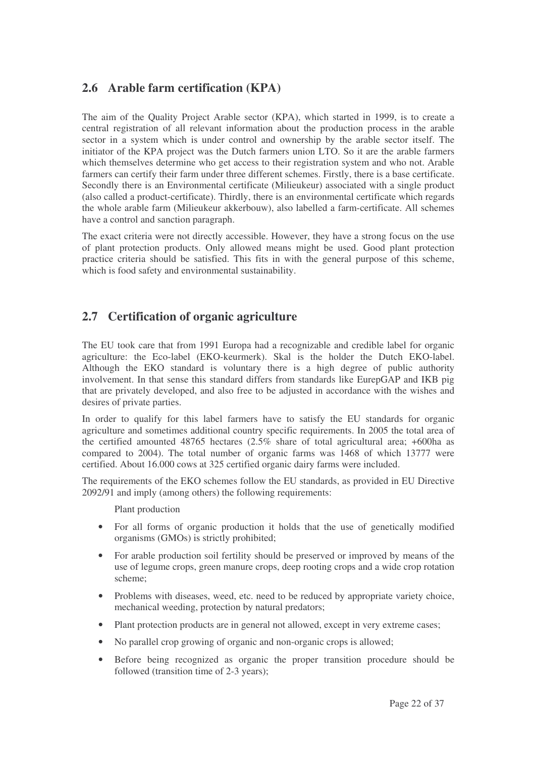## **2.6 Arable farm certification (KPA)**

The aim of the Quality Project Arable sector (KPA), which started in 1999, is to create a central registration of all relevant information about the production process in the arable sector in a system which is under control and ownership by the arable sector itself. The initiator of the KPA project was the Dutch farmers union LTO. So it are the arable farmers which themselves determine who get access to their registration system and who not. Arable farmers can certify their farm under three different schemes. Firstly, there is a base certificate. Secondly there is an Environmental certificate (Milieukeur) associated with a single product (also called a product-certificate). Thirdly, there is an environmental certificate which regards the whole arable farm (Milieukeur akkerbouw), also labelled a farm-certificate. All schemes have a control and sanction paragraph.

The exact criteria were not directly accessible. However, they have a strong focus on the use of plant protection products. Only allowed means might be used. Good plant protection practice criteria should be satisfied. This fits in with the general purpose of this scheme, which is food safety and environmental sustainability.

## **2.7 Certification of organic agriculture**

The EU took care that from 1991 Europa had a recognizable and credible label for organic agriculture: the Eco-label (EKO-keurmerk). Skal is the holder the Dutch EKO-label. Although the EKO standard is voluntary there is a high degree of public authority involvement. In that sense this standard differs from standards like EurepGAP and IKB pig that are privately developed, and also free to be adjusted in accordance with the wishes and desires of private parties.

In order to qualify for this label farmers have to satisfy the EU standards for organic agriculture and sometimes additional country specific requirements. In 2005 the total area of the certified amounted  $48765$  hectares  $(2.5\%$  share of total agricultural area; +600ha as compared to 2004). The total number of organic farms was 1468 of which 13777 were certified. About 16.000 cows at 325 certified organic dairy farms were included.

The requirements of the EKO schemes follow the EU standards, as provided in EU Directive 2092/91 and imply (among others) the following requirements:

Plant production

- For all forms of organic production it holds that the use of genetically modified organisms (GMOs) is strictly prohibited;
- For arable production soil fertility should be preserved or improved by means of the use of legume crops, green manure crops, deep rooting crops and a wide crop rotation scheme;
- Problems with diseases, weed, etc. need to be reduced by appropriate variety choice, mechanical weeding, protection by natural predators;
- Plant protection products are in general not allowed, except in very extreme cases;
- No parallel crop growing of organic and non-organic crops is allowed;
- Before being recognized as organic the proper transition procedure should be followed (transition time of 2-3 years);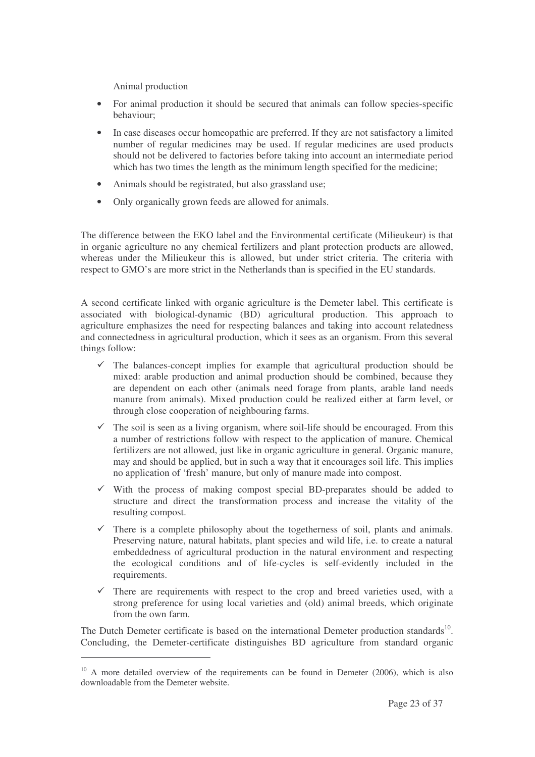Animal production

- For animal production it should be secured that animals can follow species-specific behaviour;
- In case diseases occur homeopathic are preferred. If they are not satisfactory a limited number of regular medicines may be used. If regular medicines are used products should not be delivered to factories before taking into account an intermediate period which has two times the length as the minimum length specified for the medicine;
- Animals should be registrated, but also grassland use;
- Only organically grown feeds are allowed for animals.

The difference between the EKO label and the Environmental certificate (Milieukeur) is that in organic agriculture no any chemical fertilizers and plant protection products are allowed, whereas under the Milieukeur this is allowed, but under strict criteria. The criteria with respect to GMO's are more strict in the Netherlands than is specified in the EU standards.

A second certificate linked with organic agriculture is the Demeter label. This certificate is associated with biological-dynamic (BD) agricultural production. This approach to agriculture emphasizes the need for respecting balances and taking into account relatedness and connectedness in agricultural production, which it sees as an organism. From this several things follow:

- The balances-concept implies for example that agricultural production should be mixed: arable production and animal production should be combined, because they are dependent on each other (animals need forage from plants, arable land needs manure from animals). Mixed production could be realized either at farm level, or through close cooperation of neighbouring farms.
- $\checkmark$  The soil is seen as a living organism, where soil-life should be encouraged. From this a number of restrictions follow with respect to the application of manure. Chemical fertilizers are not allowed, just like in organic agriculture in general. Organic manure, may and should be applied, but in such a way that it encourages soil life. This implies no application of 'fresh' manure, but only of manure made into compost.
- With the process of making compost special BD-preparates should be added to structure and direct the transformation process and increase the vitality of the resulting compost.
- $\checkmark$  There is a complete philosophy about the togetherness of soil, plants and animals. Preserving nature, natural habitats, plant species and wild life, i.e. to create a natural embeddedness of agricultural production in the natural environment and respecting the ecological conditions and of life-cycles is self-evidently included in the requirements.
- $\checkmark$  There are requirements with respect to the crop and breed varieties used, with a strong preference for using local varieties and (old) animal breeds, which originate from the own farm.

The Dutch Demeter certificate is based on the international Demeter production standards<sup>10</sup>. Concluding, the Demeter-certificate distinguishes BD agriculture from standard organic

 $10$  A more detailed overview of the requirements can be found in Demeter (2006), which is also downloadable from the Demeter website.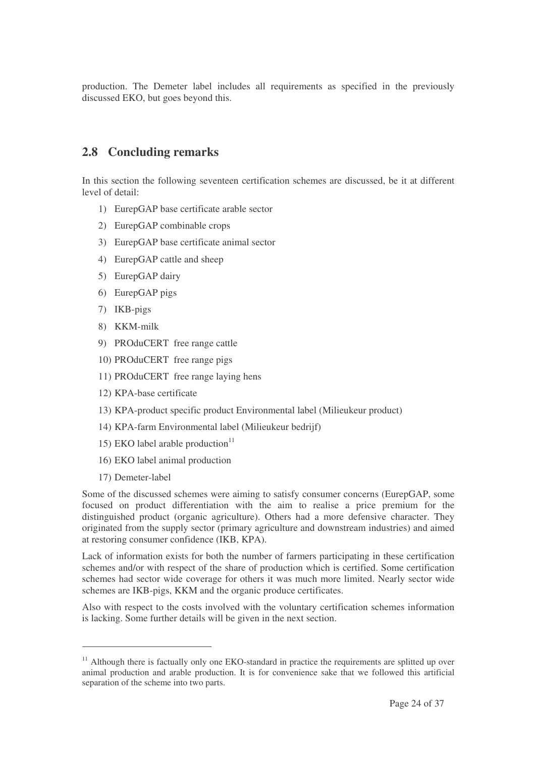production. The Demeter label includes all requirements as specified in the previously discussed EKO, but goes beyond this.

#### **2.8 Concluding remarks**

In this section the following seventeen certification schemes are discussed, be it at different level of detail:

- 1) EurepGAP base certificate arable sector
- 2) EurepGAP combinable crops
- 3) EurepGAP base certificate animal sector
- 4) EurepGAP cattle and sheep
- 5) EurepGAP dairy
- 6) EurepGAP pigs
- 7) IKB-pigs
- 8) KKM-milk
- 9) PROduCERT free range cattle
- 10) PROduCERT free range pigs
- 11) PROduCERT free range laying hens
- 12) KPA-base certificate
- 13) KPA-product specific product Environmental label (Milieukeur product)
- 14) KPA-farm Environmental label (Milieukeur bedrijf)
- 15) EKO label arable production 11
- 16) EKO label animal production
- 17) Demeter-label

Some of the discussed schemes were aiming to satisfy consumer concerns (EurepGAP, some focused on product differentiation with the aim to realise a price premium for the distinguished product (organic agriculture). Others had a more defensive character. They originated from the supply sector (primary agriculture and downstream industries) and aimed at restoring consumer confidence (IKB, KPA).

Lack of information exists for both the number of farmers participating in these certification schemes and/or with respect of the share of production which is certified. Some certification schemes had sector wide coverage for others it was much more limited. Nearly sector wide schemes are IKB-pigs, KKM and the organic produce certificates.

Also with respect to the costs involved with the voluntary certification schemes information is lacking. Some further details will be given in the next section.

<sup>&</sup>lt;sup>11</sup> Although there is factually only one EKO-standard in practice the requirements are splitted up over animal production and arable production. It is for convenience sake that we followed this artificial separation of the scheme into two parts.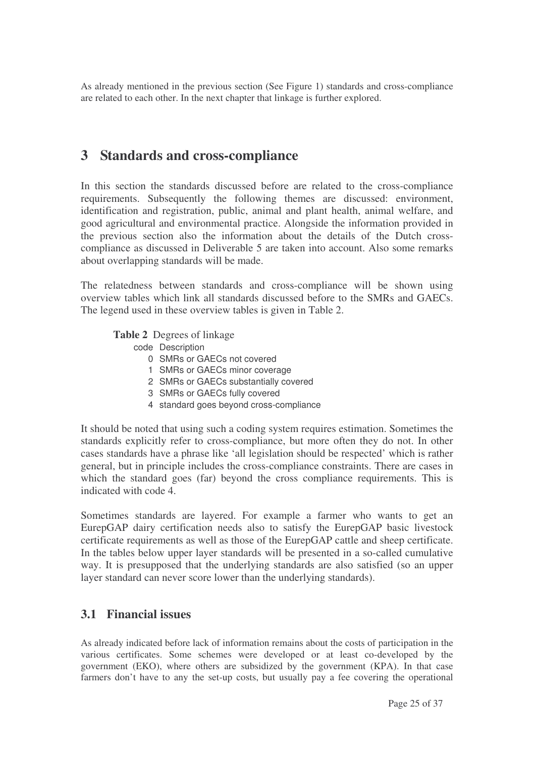As already mentioned in the previous section (See Figure 1) standards and cross-compliance are related to each other. In the next chapter that linkage is further explored.

## **3 Standards and cross-compliance**

In this section the standards discussed before are related to the cross-compliance requirements. Subsequently the following themes are discussed: environment, identification and registration, public, animal and plant health, animal welfare, and good agricultural and environmental practice. Alongside the information provided in the previous section also the information about the details of the Dutch crosscompliance as discussed in Deliverable 5 are taken into account. Also some remarks about overlapping standards will be made.

The relatedness between standards and cross-compliance will be shown using overview tables which link all standards discussed before to the SMRs and GAECs. The legend used in these overview tables is given in Table 2.

**Table 2** Degrees of linkage

- code Description
	- 0 SMRs or GAECs not covered
	- 1 SMRs or GAECs minor coverage
	- 2 SMRs or GAECs substantially covered
	- 3 SMRs or GAECs fully covered
	- 4 standard goes beyond cross-compliance

It should be noted that using such a coding system requires estimation. Sometimes the standards explicitly refer to cross-compliance, but more often they do not. In other cases standards have a phrase like 'all legislation should be respected' which is rather general, but in principle includes the cross-compliance constraints. There are cases in which the standard goes (far) beyond the cross compliance requirements. This is indicated with code 4.

Sometimes standards are layered. For example a farmer who wants to get an EurepGAP dairy certification needs also to satisfy the EurepGAP basic livestock certificate requirements as well as those of the EurepGAP cattle and sheep certificate. In the tables below upper layer standards will be presented in a so-called cumulative way. It is presupposed that the underlying standards are also satisfied (so an upper layer standard can never score lower than the underlying standards).

#### **3.1 Financial issues**

As already indicated before lack of information remains about the costs of participation in the various certificates. Some schemes were developed or at least co-developed by the government (EKO), where others are subsidized by the government (KPA). In that case farmers don't have to any the set-up costs, but usually pay a fee covering the operational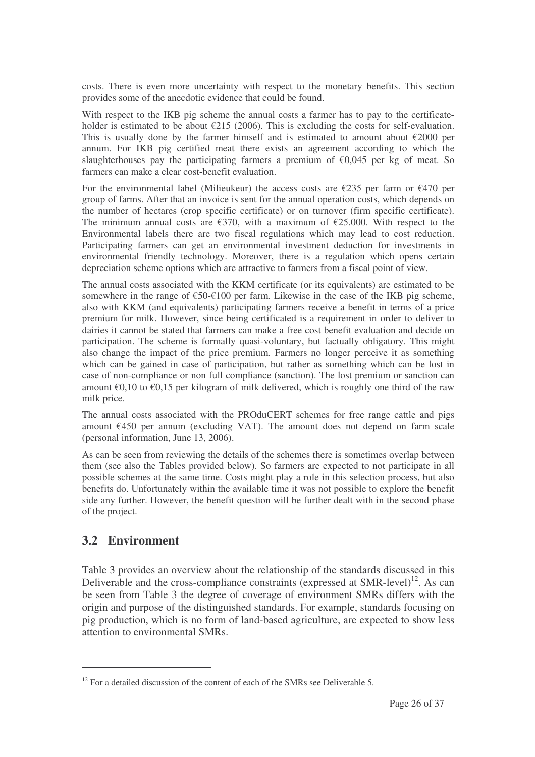costs. There is even more uncertainty with respect to the monetary benefits. This section provides some of the anecdotic evidence that could be found.

With respect to the IKB pig scheme the annual costs a farmer has to pay to the certificateholder is estimated to be about  $\epsilon$ 215 (2006). This is excluding the costs for self-evaluation. This is usually done by the farmer himself and is estimated to amount about  $\epsilon$ 2000 per annum. For IKB pig certified meat there exists an agreement according to which the slaughterhouses pay the participating farmers a premium of  $\epsilon$ 0,045 per kg of meat. So farmers can make a clear cost-benefit evaluation.

For the environmental label (Milieukeur) the access costs are  $\epsilon$ 235 per farm or  $\epsilon$ 470 per group of farms. After that an invoice is sent for the annual operation costs, which depends on the number of hectares (crop specific certificate) or on turnover (firm specific certificate). The minimum annual costs are  $\epsilon$ 370, with a maximum of  $\epsilon$ 25.000. With respect to the Environmental labels there are two fiscal regulations which may lead to cost reduction. Participating farmers can get an environmental investment deduction for investments in environmental friendly technology. Moreover, there is a regulation which opens certain depreciation scheme options which are attractive to farmers from a fiscal point of view.

The annual costs associated with the KKM certificate (or its equivalents) are estimated to be somewhere in the range of  $\epsilon$ 50- $\epsilon$ 100 per farm. Likewise in the case of the IKB pig scheme, also with KKM (and equivalents) participating farmers receive a benefit in terms of a price premium for milk. However, since being certificated is a requirement in order to deliver to dairies it cannot be stated that farmers can make a free cost benefit evaluation and decide on participation. The scheme is formally quasi-voluntary, but factually obligatory. This might also change the impact of the price premium. Farmers no longer perceive it as something which can be gained in case of participation, but rather as something which can be lost in case of non-compliance or non full compliance (sanction). The lost premium or sanction can amount  $\epsilon$ 0,10 to  $\epsilon$ 0,15 per kilogram of milk delivered, which is roughly one third of the raw milk price.

The annual costs associated with the PROduCERT schemes for free range cattle and pigs amount €450 per annum (excluding VAT). The amount does not depend on farm scale (personal information, June 13, 2006).

As can be seen from reviewing the details of the schemes there is sometimes overlap between them (see also the Tables provided below). So farmers are expected to not participate in all possible schemes at the same time. Costs might play a role in this selection process, but also benefits do. Unfortunately within the available time it was not possible to explore the benefit side any further. However, the benefit question will be further dealt with in the second phase of the project.

## **3.2 Environment**

Table 3 provides an overview about the relationship of the standards discussed in this Deliverable and the cross-compliance constraints (expressed at SMR-level)<sup>12</sup>. As can be seen from Table 3 the degree of coverage of environment SMRs differs with the origin and purpose of the distinguished standards. For example, standards focusing on pig production, which is no form of land-based agriculture, are expected to show less attention to environmental SMRs.

 $12$  For a detailed discussion of the content of each of the SMRs see Deliverable 5.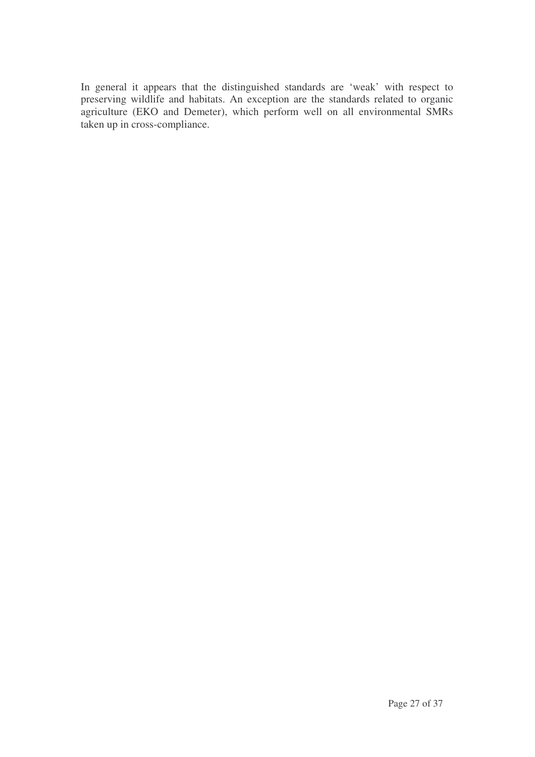In general it appears that the distinguished standards are 'weak' with respect to preserving wildlife and habitats. An exception are the standards related to organic agriculture (EKO and Demeter), which perform well on all environmental SMRs taken up in cross-compliance.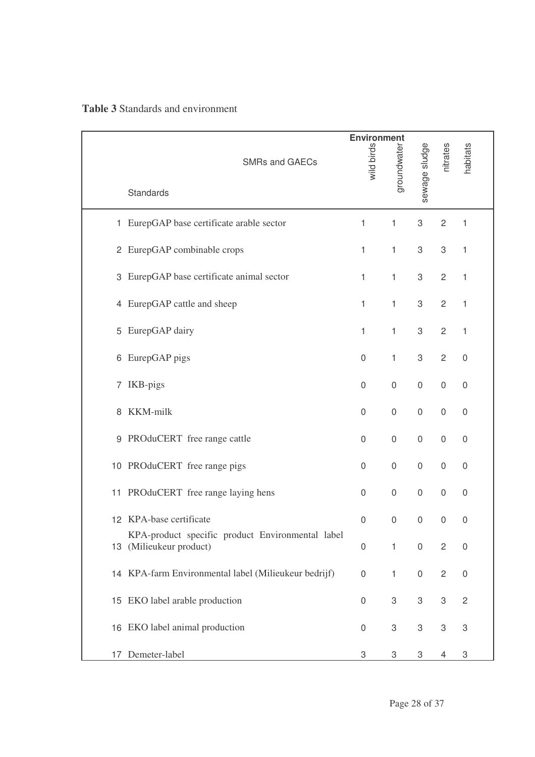| <b>Table 3 Standards and environment</b> |  |
|------------------------------------------|--|
|------------------------------------------|--|

|    |                                                                          | <b>Environment</b> |                  | nitrates            |                           |                           |
|----|--------------------------------------------------------------------------|--------------------|------------------|---------------------|---------------------------|---------------------------|
|    | <b>SMRs and GAECs</b>                                                    | wild birds         | groundwater      | sewage sludge       |                           | habitats                  |
|    | Standards                                                                |                    |                  |                     |                           |                           |
|    | 1 EurepGAP base certificate arable sector                                | 1                  | 1                | 3                   | $\overline{c}$            | 1                         |
|    | 2 EurepGAP combinable crops                                              | $\mathbf{1}$       | $\mathbf{1}$     | 3                   | $\,3$                     | $\mathbf{1}$              |
|    | 3 EurepGAP base certificate animal sector                                | $\mathbf{1}$       | $\mathbf{1}$     | 3                   | $\overline{c}$            | 1                         |
|    | 4 EurepGAP cattle and sheep                                              | $\mathbf{1}$       | $\mathbf{1}$     | 3                   | $\overline{c}$            | 1                         |
| 5  | EurepGAP dairy                                                           | 1                  | $\mathbf{1}$     | 3                   | $\overline{c}$            | 1                         |
|    | 6 EurepGAP pigs                                                          | 0                  | $\mathbf{1}$     | 3                   | $\overline{2}$            | $\mathbf 0$               |
|    | 7 IKB-pigs                                                               | 0                  | $\mathbf 0$      | $\mathsf{O}\xspace$ | $\mathsf{O}\xspace$       | $\mathbf 0$               |
| 8  | KKM-milk                                                                 | 0                  | $\boldsymbol{0}$ | $\mathsf{O}\xspace$ | $\mathbf 0$               | $\mathbf 0$               |
|    | 9 PROduCERT free range cattle                                            | 0                  | $\mathbf 0$      | $\mathsf{O}\xspace$ | $\mathbf 0$               | $\mathbf 0$               |
|    | 10 PROduCERT free range pigs                                             | 0                  | $\boldsymbol{0}$ | $\mathsf 0$         | $\mathbf 0$               | $\mathbf 0$               |
| 11 | PROduCERT free range laying hens                                         | 0                  | $\boldsymbol{0}$ | $\mathsf{O}\xspace$ | $\mathsf{O}\xspace$       | $\boldsymbol{0}$          |
|    | 12 KPA-base certificate                                                  | 0                  | $\boldsymbol{0}$ | $\mathsf 0$         | $\mathbf 0$               | $\boldsymbol{0}$          |
| 13 | KPA-product specific product Environmental label<br>(Milieukeur product) | $\boldsymbol{0}$   | $\mathbf{1}$     | $\mathsf 0$         | $\overline{c}$            | $\boldsymbol{0}$          |
|    | 14 KPA-farm Environmental label (Milieukeur bedrijf)                     | $\boldsymbol{0}$   | 1                | $\mathsf{O}\xspace$ | $\overline{c}$            | $\boldsymbol{0}$          |
| 15 | EKO label arable production                                              | $\boldsymbol{0}$   | 3                | 3                   | $\ensuremath{\mathsf{3}}$ | $\sqrt{2}$                |
|    | 16 EKO label animal production                                           | 0                  | 3                | 3                   | 3                         | $\ensuremath{\mathsf{3}}$ |
|    | 17 Demeter-label                                                         | 3                  | 3                | 3                   | 4                         | 3                         |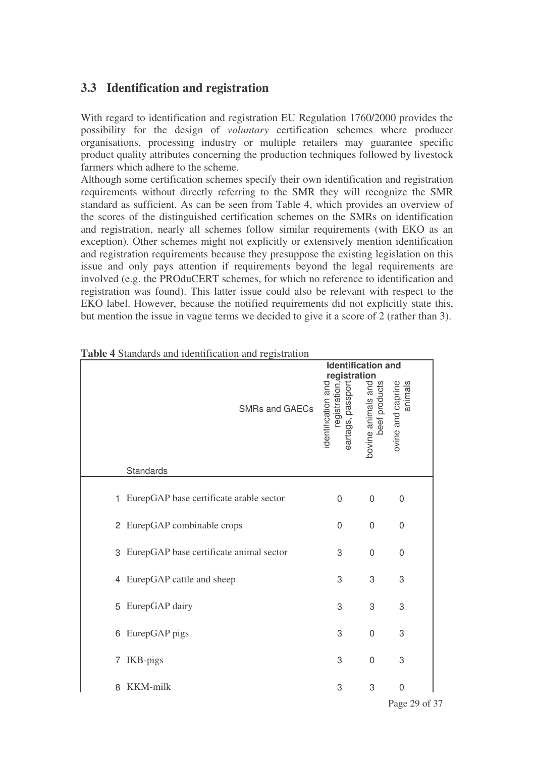### **3.3 Identification and registration**

With regard to identification and registration EU Regulation 1760/2000 provides the possibility for the design of *voluntary* certification schemes where producer organisations, processing industry or multiple retailers may guarantee specific product quality attributes concerning the production techniques followed by livestock farmers which adhere to the scheme.

Although some certification schemes specify their own identification and registration requirements without directly referring to the SMR they will recognize the SMR standard as sufficient. As can be seen from Table 4, which provides an overview of the scores of the distinguished certification schemes on the SMRs on identification and registration, nearly all schemes follow similar requirements (with EKO as an exception). Other schemes might not explicitly or extensively mention identification and registration requirements because they presuppose the existing legislation on this issue and only pays attention if requirements beyond the legal requirements are involved (e.g. the PROduCERT schemes, for which no reference to identification and registration was found). This latter issue could also be relevant with respect to the EKO label. However, because the notified requirements did not explicitly state this, but mention the issue in vague terms we decided to give it a score of 2 (rather than 3).

|   | <b>radio +</b> diamarus and identification and registration | <b>Identification and</b>                                                      |                                     |                              |
|---|-------------------------------------------------------------|--------------------------------------------------------------------------------|-------------------------------------|------------------------------|
|   | <b>SMRs and GAECs</b>                                       | <u>registration</u><br>eartags, passport<br>identification and<br>registration | bovine animals and<br>beef products | animals<br>ovine and caprine |
|   | Standards                                                   |                                                                                |                                     |                              |
|   | 1 EurepGAP base certificate arable sector                   | $\Omega$                                                                       | 0                                   | 0                            |
|   | 2 EurepGAP combinable crops                                 | 0                                                                              | $\mathbf 0$                         | 0                            |
|   | 3 EurepGAP base certificate animal sector                   | 3                                                                              | $\mathbf 0$                         | $\mathsf 0$                  |
|   | 4 EurepGAP cattle and sheep                                 | 3                                                                              | 3                                   | 3                            |
|   | 5 EurepGAP dairy                                            | 3                                                                              | 3                                   | 3                            |
|   | 6 EurepGAP pigs                                             | 3                                                                              | $\mathbf 0$                         | 3                            |
|   | 7 IKB-pigs                                                  | 3                                                                              | $\mathbf 0$                         | 3                            |
| 8 | KKM-milk                                                    | 3                                                                              | 3                                   | 0                            |

**Table 4** Standards and identification and registration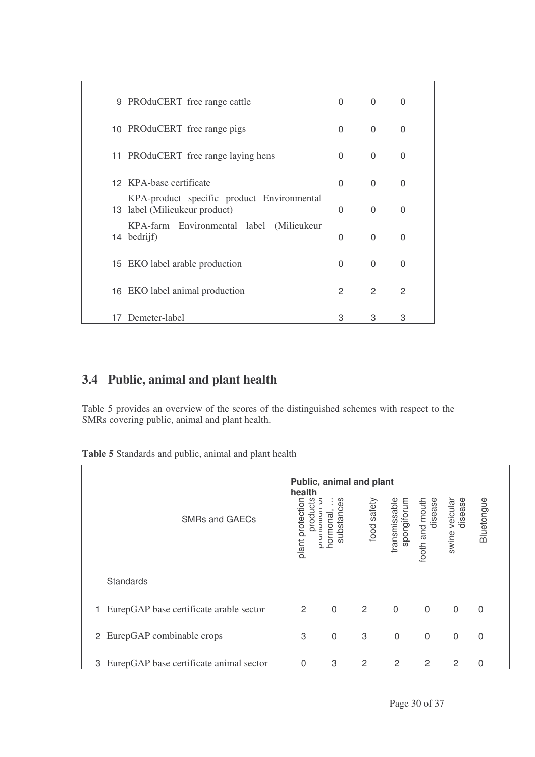|    | 9 PROduCERT free range cattle                                               | 0 | $\Omega$       | 0              |
|----|-----------------------------------------------------------------------------|---|----------------|----------------|
|    | 10 PROduCERT free range pigs                                                | 0 | $\Omega$       | 0              |
|    | 11 PROduCERT free range laying hens                                         | 0 | $\Omega$       | $\mathbf{0}$   |
|    | 12 KPA-base certificate                                                     | 0 | $\Omega$       | 0              |
|    | KPA-product specific product Environmental<br>13 label (Milieukeur product) | 0 | $\Omega$       | 0              |
|    | KPA-farm Environmental label (Milieukeur<br>14 bedrijf)                     | 0 | $\Omega$       | $\mathbf{0}$   |
|    | 15 EKO label arable production                                              | 0 | $\Omega$       | $\mathbf{0}$   |
|    | 16 EKO label animal production                                              | 2 | $\overline{2}$ | $\overline{c}$ |
| 17 | Demeter-label                                                               | 3 | 3              | 3              |

## **3.4 Public, animal and plant health**

Table 5 provides an overview of the scores of the distinguished schemes with respect to the SMRs covering public, animal and plant health.

**Table 5** Standards and public, animal and plant health

| <b>SMRs and GAECs</b>                        | health<br>products<br>plant protection | substances<br>normonal | Public, animal and plant<br>food safety | spongiforum<br>transmissable | disease<br>footh and mouth | veicular<br>disease<br>swine | Bluetongue     |  |
|----------------------------------------------|----------------------------------------|------------------------|-----------------------------------------|------------------------------|----------------------------|------------------------------|----------------|--|
| Standards                                    |                                        |                        |                                         |                              |                            |                              |                |  |
| EurepGAP base certificate arable sector<br>1 | $\overline{2}$                         | $\mathbf 0$            | $\overline{2}$                          | $\overline{0}$               | $\mathbf 0$                | $\mathbf{0}$                 | $\Omega$       |  |
| 2 EurepGAP combinable crops                  | 3                                      | $\boldsymbol{0}$       | 3                                       | $\mathbf 0$                  | $\mathbf 0$                | $\overline{0}$               | $\mathbf 0$    |  |
| EurepGAP base certificate animal sector<br>3 | $\overline{0}$                         | 3                      | 2                                       | 2                            | 2                          | 2                            | $\overline{0}$ |  |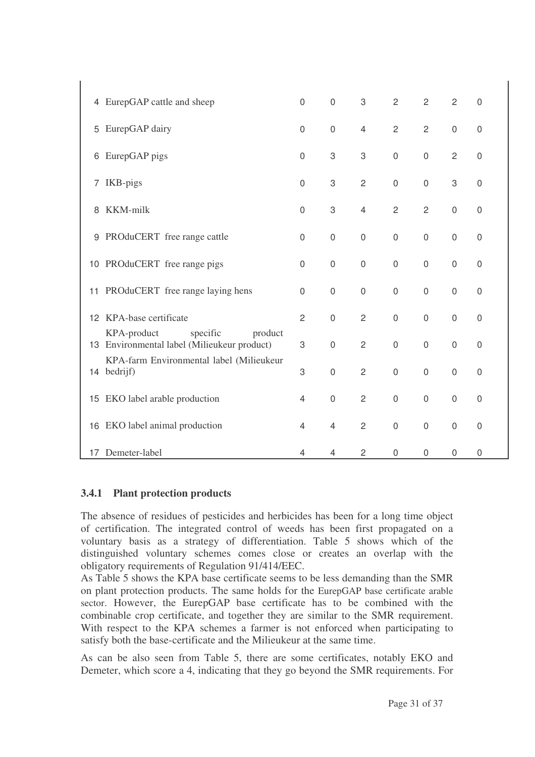|    | 4 EurepGAP cattle and sheep                                                       | $\mathbf 0$    | $\mathbf 0$         | 3              | $\overline{2}$ | $\overline{2}$ | 2                | 0                |
|----|-----------------------------------------------------------------------------------|----------------|---------------------|----------------|----------------|----------------|------------------|------------------|
| 5  | EurepGAP dairy                                                                    | $\mathbf 0$    | $\mathbf 0$         | $\overline{4}$ | $\overline{c}$ | $\overline{c}$ | $\mathbf 0$      | 0                |
| 6  | EurepGAP pigs                                                                     | $\mathbf 0$    | 3                   | 3              | $\mathbf 0$    | $\mathbf 0$    | $\overline{c}$   | $\boldsymbol{0}$ |
| 7  | IKB-pigs                                                                          | $\mathbf 0$    | 3                   | $\overline{2}$ | $\mathbf 0$    | $\mathbf 0$    | 3                | 0                |
| 8  | KKM-milk                                                                          | $\mathbf 0$    | 3                   | $\overline{4}$ | $\overline{c}$ | $\overline{c}$ | $\mathsf 0$      | $\boldsymbol{0}$ |
| 9  | PROduCERT free range cattle                                                       | $\mathbf 0$    | $\mathsf{O}\xspace$ | $\mathbf 0$    | $\mathbf 0$    | $\mathbf 0$    | $\mathbf 0$      | $\mathbf 0$      |
|    | 10 PROduCERT free range pigs                                                      | $\mathbf 0$    | $\mathbf 0$         | $\mathbf 0$    | $\mathbf 0$    | $\mathbf 0$    | $\mathbf 0$      | $\boldsymbol{0}$ |
| 11 | PROduCERT free range laying hens                                                  | $\mathbf 0$    | $\mathbf 0$         | $\mathbf 0$    | $\mathbf 0$    | $\mathbf 0$    | $\mathbf 0$      | $\mathbf 0$      |
| 12 | KPA-base certificate                                                              | $\overline{c}$ | $\mathbf 0$         | $\overline{2}$ | $\mathbf 0$    | $\mathbf 0$    | $\mathbf 0$      | 0                |
|    | specific<br>KPA-product<br>product<br>13 Environmental label (Milieukeur product) | 3              | $\mathsf{O}\xspace$ | $\overline{2}$ | $\mathbf 0$    | $\mathbf 0$    | $\mathbf 0$      | $\boldsymbol{0}$ |
|    | KPA-farm Environmental label (Milieukeur<br>14 bedrijf)                           | 3              | $\mathbf 0$         | $\overline{2}$ | $\mathbf 0$    | $\mathbf 0$    | $\mathbf 0$      | 0                |
|    | 15 EKO label arable production                                                    | 4              | $\mathbf 0$         | $\overline{2}$ | $\mathbf 0$    | $\mathbf 0$    | $\mathbf 0$      | 0                |
| 16 | EKO label animal production                                                       | $\overline{4}$ | $\overline{4}$      | $\overline{c}$ | $\mathbf 0$    | $\mathbf 0$    | $\mathbf 0$      | $\mathbf 0$      |
|    | 17 Demeter-label                                                                  | 4              | 4                   | $\overline{c}$ | $\mathbf 0$    | $\mathbf 0$    | $\boldsymbol{0}$ | $\boldsymbol{0}$ |

#### **3.4.1 Plant protection products**

The absence of residues of pesticides and herbicides has been for a long time object of certification. The integrated control of weeds has been first propagated on a voluntary basis as a strategy of differentiation. Table 5 shows which of the distinguished voluntary schemes comes close or creates an overlap with the obligatory requirements of Regulation 91/414/EEC.

As Table 5 shows the KPA base certificate seems to be less demanding than the SMR on plant protection products. The same holds for the EurepGAP base certificate arable sector. However, the EurepGAP base certificate has to be combined with the combinable crop certificate, and together they are similar to the SMR requirement. With respect to the KPA schemes a farmer is not enforced when participating to satisfy both the base-certificate and the Milieukeur at the same time.

As can be also seen from Table 5, there are some certificates, notably EKO and Demeter, which score a 4, indicating that they go beyond the SMR requirements. For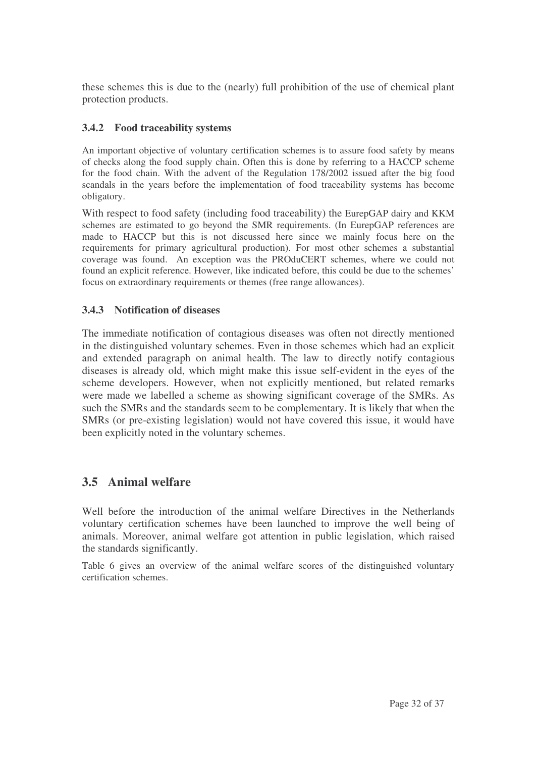these schemes this is due to the (nearly) full prohibition of the use of chemical plant protection products.

#### **3.4.2 Food traceability systems**

An important objective of voluntary certification schemes is to assure food safety by means of checks along the food supply chain. Often this is done by referring to a HACCP scheme for the food chain. With the advent of the Regulation 178/2002 issued after the big food scandals in the years before the implementation of food traceability systems has become obligatory.

With respect to food safety (including food traceability) the EurepGAP dairy and KKM schemes are estimated to go beyond the SMR requirements. (In EurepGAP references are made to HACCP but this is not discussed here since we mainly focus here on the requirements for primary agricultural production). For most other schemes a substantial coverage was found. An exception was the PROduCERT schemes, where we could not found an explicit reference. However, like indicated before, this could be due to the schemes' focus on extraordinary requirements or themes (free range allowances).

#### **3.4.3 Notification of diseases**

The immediate notification of contagious diseases was often not directly mentioned in the distinguished voluntary schemes. Even in those schemes which had an explicit and extended paragraph on animal health. The law to directly notify contagious diseases is already old, which might make this issue self-evident in the eyes of the scheme developers. However, when not explicitly mentioned, but related remarks were made we labelled a scheme as showing significant coverage of the SMRs. As such the SMRs and the standards seem to be complementary. It is likely that when the SMRs (or pre-existing legislation) would not have covered this issue, it would have been explicitly noted in the voluntary schemes.

### **3.5 Animal welfare**

Well before the introduction of the animal welfare Directives in the Netherlands voluntary certification schemes have been launched to improve the well being of animals. Moreover, animal welfare got attention in public legislation, which raised the standards significantly.

Table 6 gives an overview of the animal welfare scores of the distinguished voluntary certification schemes.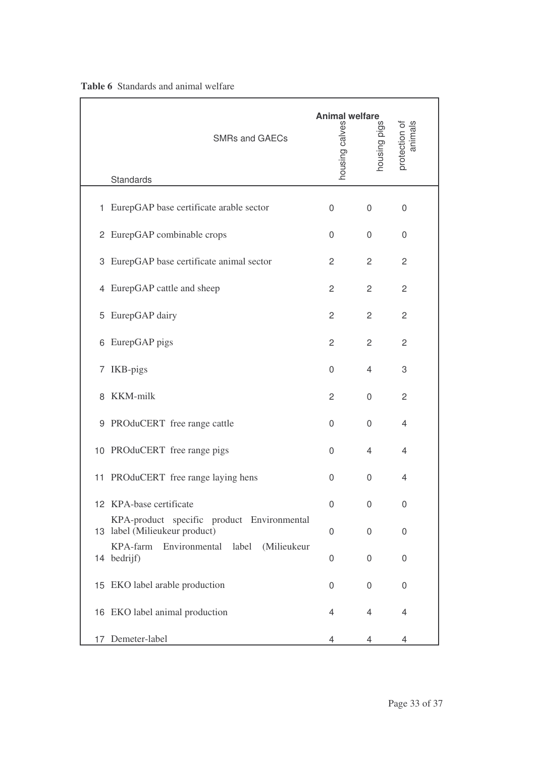|   | <b>SMRs and GAECs</b><br>Standards                                          | <b>Animal welfare</b><br>housing calves | housing pigs   | protection of<br>animals |
|---|-----------------------------------------------------------------------------|-----------------------------------------|----------------|--------------------------|
|   |                                                                             |                                         |                |                          |
|   | 1 EurepGAP base certificate arable sector                                   | 0                                       | 0              | $\boldsymbol{0}$         |
|   | 2 EurepGAP combinable crops                                                 | 0                                       | 0              | 0                        |
|   | 3 EurepGAP base certificate animal sector                                   | $\overline{2}$                          | $\overline{2}$ | 2                        |
|   | 4 EurepGAP cattle and sheep                                                 | $\overline{2}$                          | $\overline{2}$ | $\overline{2}$           |
| 5 | EurepGAP dairy                                                              | 2                                       | $\overline{2}$ | $\overline{c}$           |
|   | 6 EurepGAP pigs                                                             | $\overline{2}$                          | $\overline{2}$ | $\overline{2}$           |
|   | 7 IKB-pigs                                                                  | 0                                       | 4              | 3                        |
| 8 | KKM-milk                                                                    | 2                                       | 0              | $\overline{2}$           |
|   | 9 PROduCERT free range cattle                                               | 0                                       | 0              | 4                        |
|   | 10 PROduCERT free range pigs                                                | 0                                       | 4              | 4                        |
|   | 11 PROduCERT free range laying hens                                         | 0                                       | 0              | 4                        |
|   | 12 KPA-base certificate                                                     | 0                                       | 0              | 0                        |
|   | KPA-product specific product Environmental<br>13 label (Milieukeur product) | 0                                       | 0              | 0                        |
|   | KPA-farm<br>Environmental label<br>(Milieukeur<br>14 bedrijf)               | 0                                       | 0              | 0                        |
|   | 15 EKO label arable production                                              | 0                                       | 0              | 0                        |
|   | 16 EKO label animal production                                              | 4                                       | 4              | 4                        |
|   | 17 Demeter-label                                                            | 4                                       | 4              | 4                        |

#### **Table 6** Standards and animal welfare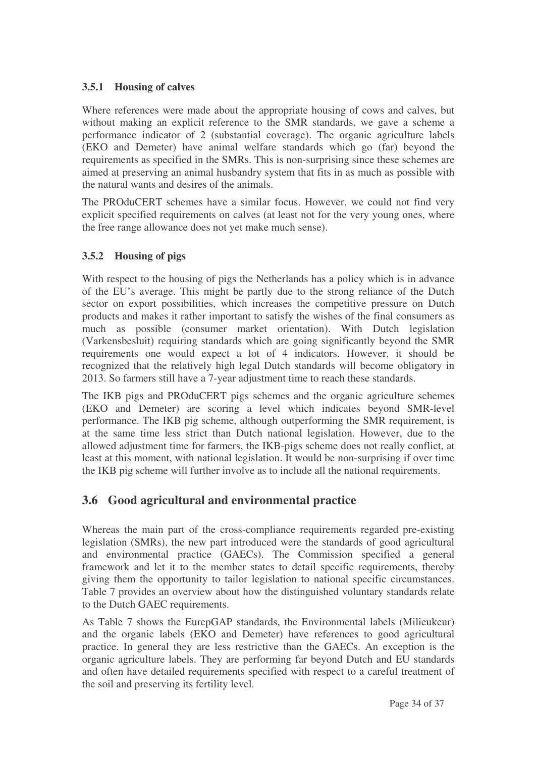#### **3.5.1 Housing of calves**

Where references were made about the appropriate housing of cows and calves, but without making an explicit reference to the SMR standards, we gave a scheme a performance indicator of 2 (substantial coverage). The organic agriculture labels (EKO and Demeter) have animal welfare standards which go (far) beyond the requirements as specified in the SMRs. This is non-surprising since these schemes are aimed at preserving an animal husbandry system that fits in as much as possible with the natural wants and desires of the animals.

The PROduCERT schemes have a similar focus. However, we could not find very explicit specified requirements on calves (at least not for the very young ones, where the free range allowance does not yet make much sense).

#### **3.5.2 Housing of pigs**

With respect to the housing of pigs the Netherlands has a policy which is in advance of the EU's average. This might be partly due to the strong reliance of the Dutch sector on export possibilities, which increases the competitive pressure on Dutch products and makes it rather important to satisfy the wishes of the final consumers as much as possible (consumer market orientation). With Dutch legislation (Varkensbesluit) requiring standards which are going significantly beyond the SMR requirements one would expect a lot of 4 indicators. However, it should be recognized that the relatively high legal Dutch standards will become obligatory in 2013. So farmers still have a 7-year adjustment time to reach these standards.

The IKB pigs and PROduCERT pigs schemes and the organic agriculture schemes (EKO and Demeter) are scoring a level which indicates beyond SMR-level performance. The IKB pig scheme, although outperforming the SMR requirement, is at the same time less strict than Dutch national legislation. However, due to the allowed adjustment time for farmers, the IKB-pigs scheme does not really conflict, at least at this moment, with national legislation. It would be non-surprising if over time the IKB pig scheme will further involve as to include all the national requirements.

## **3.6 Good agricultural and environmental practice**

Whereas the main part of the cross-compliance requirements regarded pre-existing legislation (SMRs), the new part introduced were the standards of good agricultural and environmental practice (GAECs). The Commission specified a general framework and let it to the member states to detail specific requirements, thereby giving them the opportunity to tailor legislation to national specific circumstances. Table 7 provides an overview about how the distinguished voluntary standards relate to the Dutch GAEC requirements.

As Table 7 shows the EurepGAP standards, the Environmental labels (Milieukeur) and the organic labels (EKO and Demeter) have references to good agricultural practice. In general they are less restrictive than the GAECs. An exception is the organic agriculture labels. They are performing far beyond Dutch and EU standards and often have detailed requirements specified with respect to a careful treatment of the soil and preserving its fertility level.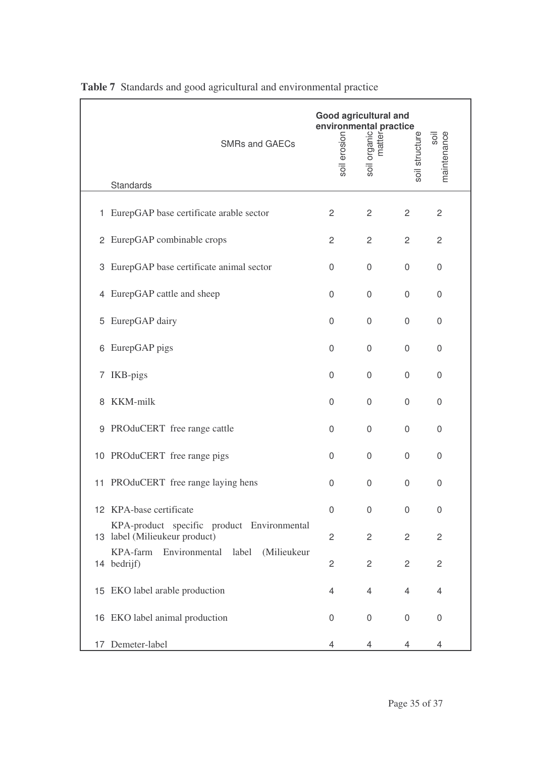|    | <b>SMRs and GAECs</b><br>Standards                                          | <b>Good agricultural and</b><br>environmental practice<br>$\frac{5}{2}$<br>$\frac{1}{2}$<br>$\frac{1}{2}$<br>$\frac{1}{2}$<br>$\frac{1}{2}$<br>$\frac{1}{2}$<br>$\frac{1}{2}$<br>soil erosion | soil             | soil structure   | maintenance<br>soil |
|----|-----------------------------------------------------------------------------|-----------------------------------------------------------------------------------------------------------------------------------------------------------------------------------------------|------------------|------------------|---------------------|
|    |                                                                             |                                                                                                                                                                                               |                  |                  |                     |
|    | 1 EurepGAP base certificate arable sector                                   | 2                                                                                                                                                                                             | 2                | 2                | $\overline{c}$      |
|    | 2 EurepGAP combinable crops                                                 | 2                                                                                                                                                                                             | $\overline{c}$   | $\overline{c}$   | $\overline{c}$      |
|    | 3 EurepGAP base certificate animal sector                                   | 0                                                                                                                                                                                             | 0                | 0                | $\overline{0}$      |
| 4  | EurepGAP cattle and sheep                                                   | 0                                                                                                                                                                                             | 0                | 0                | 0                   |
| 5  | EurepGAP dairy                                                              | 0                                                                                                                                                                                             | 0                | 0                | $\mathbf 0$         |
| 6  | EurepGAP pigs                                                               | 0                                                                                                                                                                                             | 0                | 0                | $\mathbf 0$         |
|    | 7 IKB-pigs                                                                  | 0                                                                                                                                                                                             | 0                | 0                | $\mathbf 0$         |
| 8  | KKM-milk                                                                    | 0                                                                                                                                                                                             | 0                | 0                | $\mathbf 0$         |
|    | 9 PROduCERT free range cattle                                               | 0                                                                                                                                                                                             | 0                | 0                | $\mathbf 0$         |
|    | 10 PROduCERT free range pigs                                                | 0                                                                                                                                                                                             | 0                | 0                | 0                   |
|    | 11 PROduCERT free range laying hens                                         | 0                                                                                                                                                                                             | 0                | 0                | $\mathbf 0$         |
|    | 12 KPA-base certificate                                                     | 0                                                                                                                                                                                             | 0                | $\boldsymbol{0}$ | $\mathbf 0$         |
|    | KPA-product specific product Environmental<br>13 label (Milieukeur product) | $\overline{c}$                                                                                                                                                                                | $\overline{c}$   | $\overline{c}$   | $\overline{c}$      |
|    | KPA-farm<br>Environmental label (Milieukeur<br>14 bedrijf)                  | 2                                                                                                                                                                                             | $\overline{c}$   | $\overline{2}$   | $\overline{c}$      |
|    | 15 EKO label arable production                                              | 4                                                                                                                                                                                             | 4                | 4                | 4                   |
|    | 16 EKO label animal production                                              | $\overline{0}$                                                                                                                                                                                | $\boldsymbol{0}$ | $\boldsymbol{0}$ | 0                   |
| 17 | Demeter-label                                                               | 4                                                                                                                                                                                             | 4                | 4                | 4                   |

|  |  |  |  |  |  | <b>Table 7</b> Standards and good agricultural and environmental practice |  |
|--|--|--|--|--|--|---------------------------------------------------------------------------|--|
|--|--|--|--|--|--|---------------------------------------------------------------------------|--|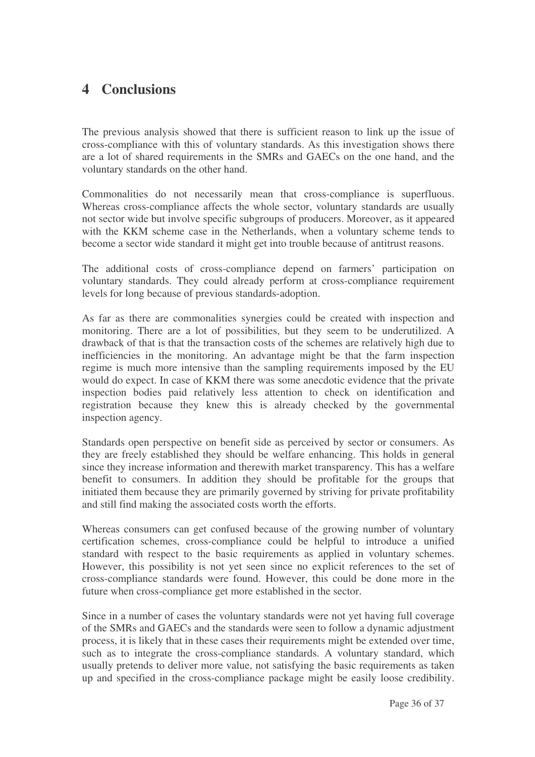## **4 Conclusions**

The previous analysis showed that there is sufficient reason to link up the issue of cross-compliance with this of voluntary standards. As this investigation shows there are a lot of shared requirements in the SMRs and GAECs on the one hand, and the voluntary standards on the other hand.

Commonalities do not necessarily mean that cross-compliance is superfluous. Whereas cross-compliance affects the whole sector, voluntary standards are usually not sector wide but involve specific subgroups of producers. Moreover, as it appeared with the KKM scheme case in the Netherlands, when a voluntary scheme tends to become a sector wide standard it might get into trouble because of antitrust reasons.

The additional costs of cross-compliance depend on farmers' participation on voluntary standards. They could already perform at cross-compliance requirement levels for long because of previous standards-adoption.

As far as there are commonalities synergies could be created with inspection and monitoring. There are a lot of possibilities, but they seem to be underutilized. A drawback of that is that the transaction costs of the schemes are relatively high due to inefficiencies in the monitoring. An advantage might be that the farm inspection regime is much more intensive than the sampling requirements imposed by the EU would do expect. In case of KKM there was some anecdotic evidence that the private inspection bodies paid relatively less attention to check on identification and registration because they knew this is already checked by the governmental inspection agency.

Standards open perspective on benefit side as perceived by sector or consumers. As they are freely established they should be welfare enhancing. This holds in general since they increase information and therewith market transparency. This has a welfare benefit to consumers. In addition they should be profitable for the groups that initiated them because they are primarily governed by striving for private profitability and still find making the associated costs worth the efforts.

Whereas consumers can get confused because of the growing number of voluntary certification schemes, cross-compliance could be helpful to introduce a unified standard with respect to the basic requirements as applied in voluntary schemes. However, this possibility is not yet seen since no explicit references to the set of cross-compliance standards were found. However, this could be done more in the future when cross-compliance get more established in the sector.

Since in a number of cases the voluntary standards were not yet having full coverage of the SMRs and GAECs and the standards were seen to follow a dynamic adjustment process, it is likely that in these cases their requirements might be extended over time, such as to integrate the cross-compliance standards. A voluntary standard, which usually pretends to deliver more value, not satisfying the basic requirements as taken up and specified in the cross-compliance package might be easily loose credibility.